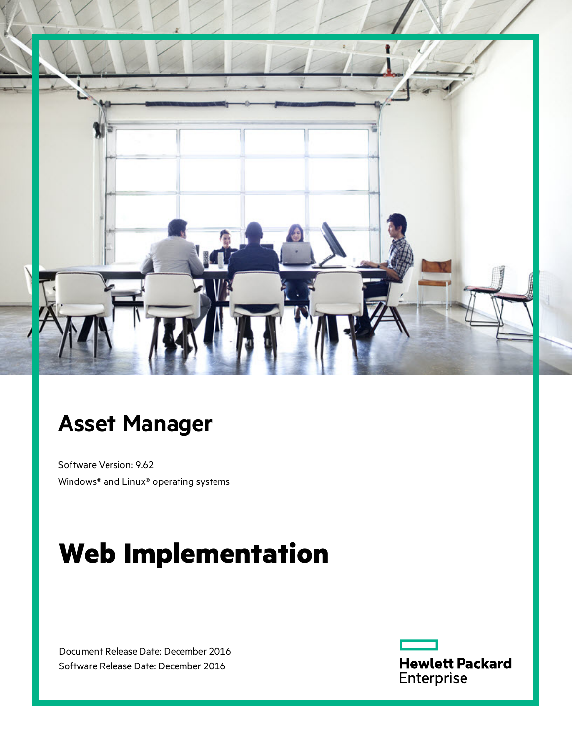

## **Asset Manager**

Software Version: 9.62 Windows® and Linux® operating systems

# **Web Implementation**

Document Release Date: December 2016 Software Release Date: December 2016

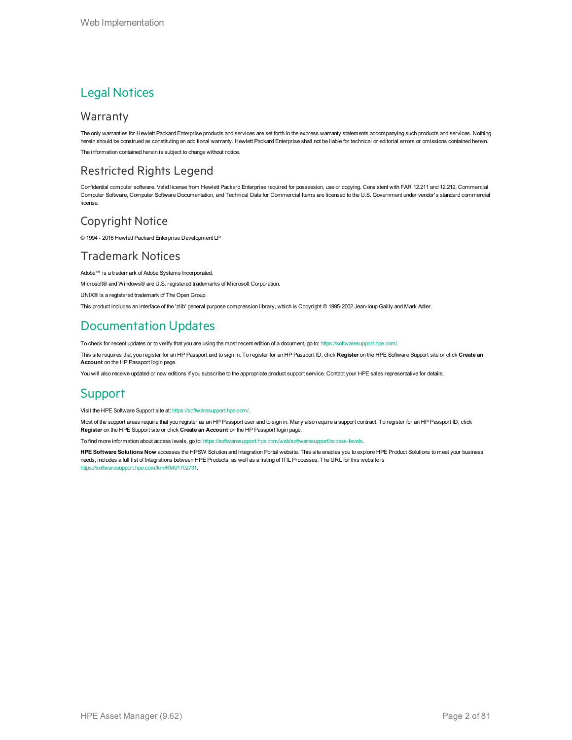### Legal Notices

#### **Warranty**

The only warranties for Hewlett Packard Enterprise products and services are set forth in the express warranty statements accompanying such products and services. Nothing herein should be construed as constituting an additional warranty. Hewlett Packard Enterprise shall not be liable for technical or editorial errors or omissions contained herein. The information contained herein is subject to change without notice.

### Restricted Rights Legend

Confidential computer software. Valid license from Hewlett Packard Enterprise required for possession, use or copying. Consistent with FAR 12.211 and 12.212, Commercial Computer Software, Computer Software Documentation, and Technical Data for Commercial Items are licensed to the U.S. Government under vendor's standard commercial license.

### Copyright Notice

© 1994 - 2016 Hewlett Packard Enterprise Development LP

### Trademark Notices

Adobe™ is a trademark of Adobe Systems Incorporated.

Microsoft® and Windows® are U.S. registered trademarks of Microsoft Corporation.

UNIX® is a registered trademark of The Open Group.

This product includes an interface of the 'zlib' general purpose compression library, which is Copyright © 1995-2002 Jean-loup Gailly and Mark Adler.

### Documentation Updates

To check for recent updates or to verify that you are using the most recent edition of a document, go to: <https://softwaresupport.hpe.com/>.

This site requires that you register for an HP Passport and to sign in. To register for an HP Passport ID, click **Register** on the HPE Software Support site or click **Create an Account** on the HP Passport login page.

You will also receive updated or new editions if you subscribe to the appropriate product support service. Contact your HPE sales representative for details.

### Support

Visit the HPE Software Support site at: <https://softwaresupport.hpe.com/>.

Most of the support areas require that you register as an HP Passport user and to sign in. Many also require a support contract. To register for an HP Passport ID, click **Register** on the HPE Support site or click **Create an Account** on the HP Passport login page.

To find more information about access levels, go to: <https://softwaresupport.hpe.com/web/softwaresupport/access-levels>.

**HPE Software Solutions Now** accesses the HPSW Solution and Integration Portal website. This site enables you to explore HPE Product Solutions to meet your business needs, includes a full list of Integrations between HPE Products, as well as a listing of ITIL Processes. The URL for this website is [https://softwaresupport.hpe.com/km/KM01702731.](https://softwaresupport.hpe.com/km/KM01702731)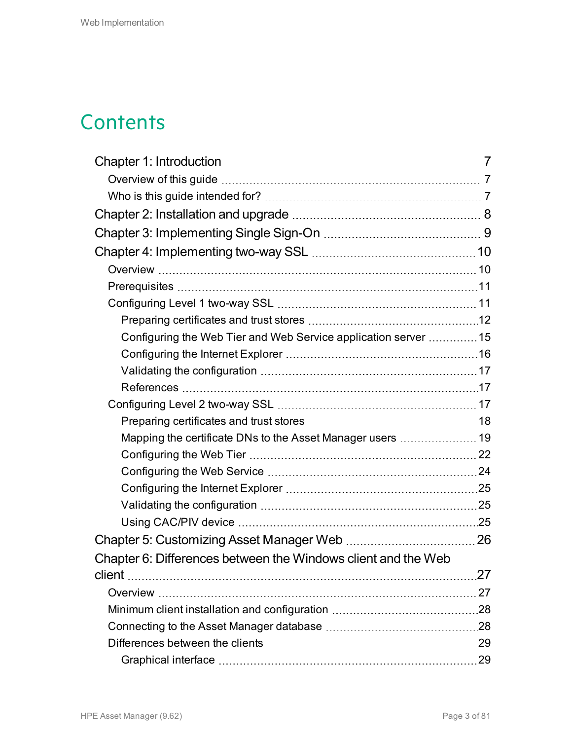## **Contents**

| Configuring the Web Tier and Web Service application server  15 |  |
|-----------------------------------------------------------------|--|
|                                                                 |  |
|                                                                 |  |
|                                                                 |  |
|                                                                 |  |
|                                                                 |  |
|                                                                 |  |
|                                                                 |  |
|                                                                 |  |
|                                                                 |  |
|                                                                 |  |
|                                                                 |  |
|                                                                 |  |
| Chapter 6: Differences between the Windows client and the Web   |  |
|                                                                 |  |
|                                                                 |  |
|                                                                 |  |
|                                                                 |  |
|                                                                 |  |
|                                                                 |  |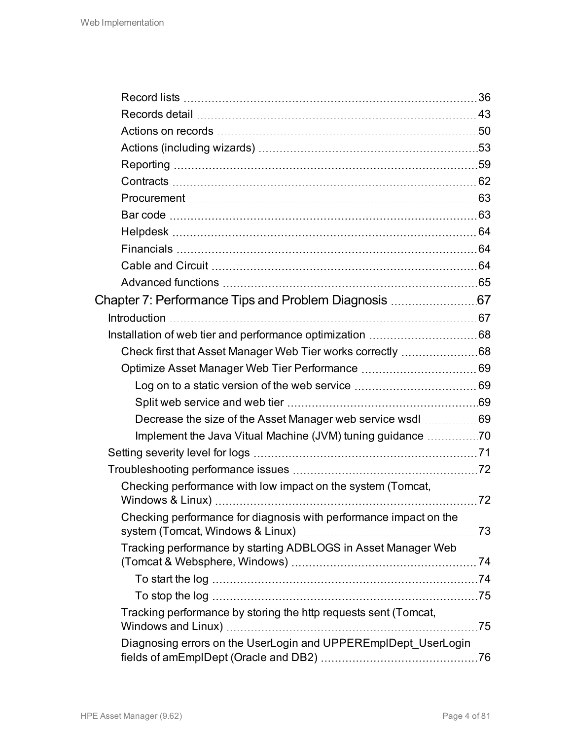|                                                                   | 36 |
|-------------------------------------------------------------------|----|
|                                                                   |    |
|                                                                   |    |
|                                                                   |    |
|                                                                   |    |
|                                                                   |    |
|                                                                   |    |
|                                                                   |    |
|                                                                   |    |
|                                                                   |    |
|                                                                   |    |
|                                                                   |    |
| Chapter 7: Performance Tips and Problem Diagnosis 67              |    |
|                                                                   |    |
|                                                                   |    |
| Check first that Asset Manager Web Tier works correctly 68        |    |
|                                                                   |    |
|                                                                   |    |
|                                                                   |    |
|                                                                   |    |
|                                                                   |    |
|                                                                   |    |
|                                                                   |    |
| Checking performance with low impact on the system (Tomcat,       |    |
|                                                                   |    |
| Checking performance for diagnosis with performance impact on the |    |
|                                                                   |    |
| Tracking performance by starting ADBLOGS in Asset Manager Web     |    |
|                                                                   |    |
|                                                                   |    |
| Tracking performance by storing the http requests sent (Tomcat,   |    |
| Diagnosing errors on the UserLogin and UPPEREmplDept_UserLogin    |    |
|                                                                   |    |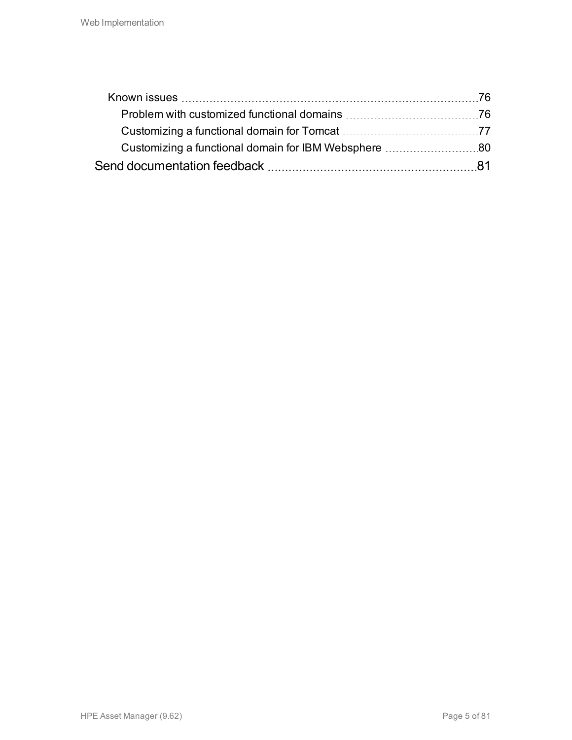| Customizing a functional domain for IBM Websphere 80 |  |
|------------------------------------------------------|--|
|                                                      |  |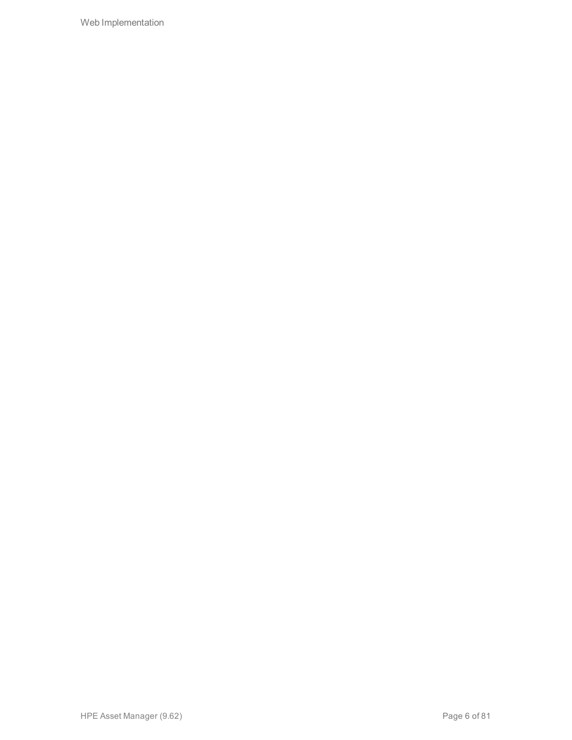Web Implementation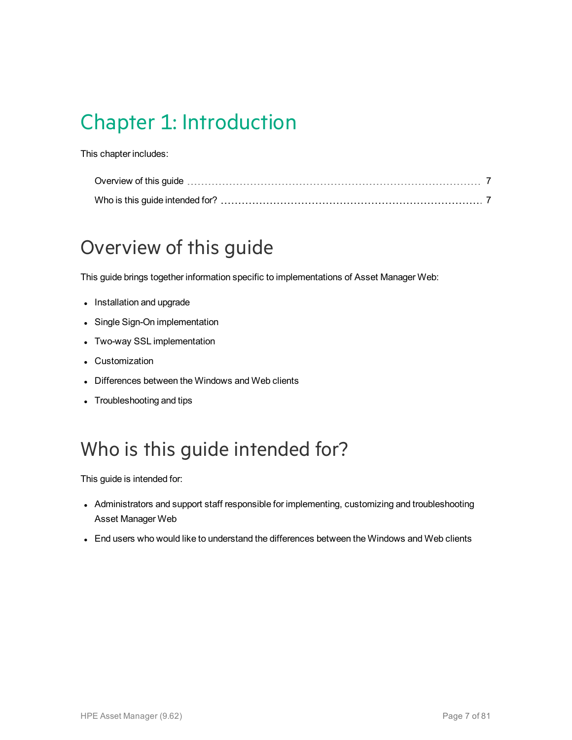## <span id="page-6-0"></span>Chapter 1: Introduction

This chapter includes:

### <span id="page-6-1"></span>Overview of this guide

This guide brings together information specific to implementations of Asset Manager Web:

- Installation and upgrade
- Single Sign-On implementation
- Two-way SSL implementation
- Customization
- Differences between the Windows and Web clients
- Troubleshooting and tips

### <span id="page-6-2"></span>Who is this guide intended for?

This guide is intended for:

- Administrators and support staff responsible for implementing, customizing and troubleshooting Asset Manager Web
- End users who would like to understand the differences between the Windows and Web clients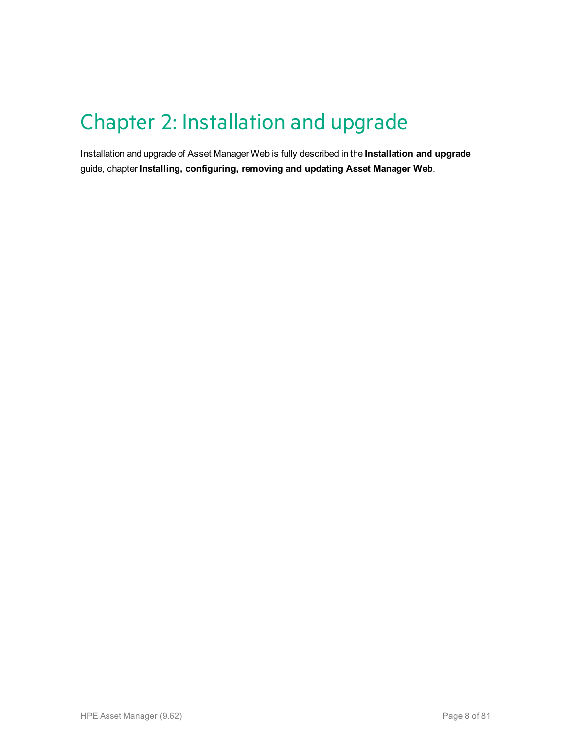## <span id="page-7-0"></span>Chapter 2: Installation and upgrade

Installation and upgrade of Asset Manager Web is fully described in the **Installation and upgrade** guide, chapter **Installing, configuring, removing and updating Asset Manager Web**.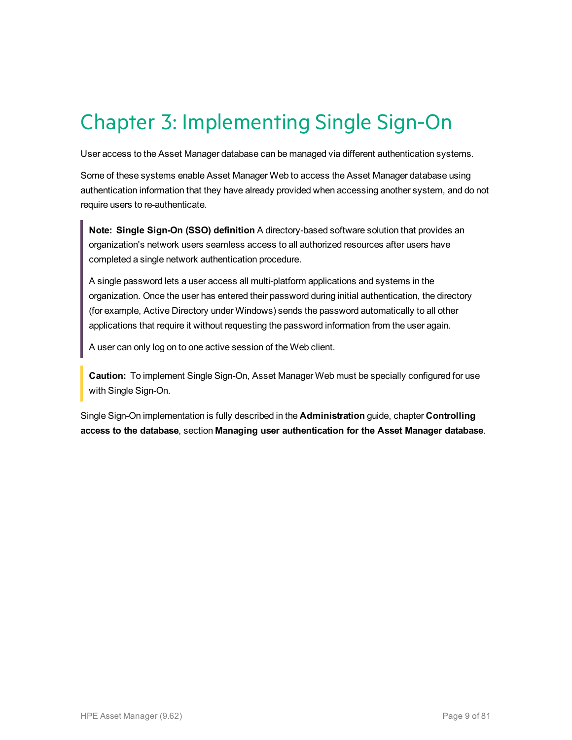## <span id="page-8-0"></span>Chapter 3: Implementing Single Sign-On

User access to the Asset Manager database can be managed via different authentication systems.

Some of these systems enable Asset Manager Web to access the Asset Manager database using authentication information that they have already provided when accessing another system, and do not require users to re-authenticate.

**Note: Single Sign-On (SSO) definition** A directory-based software solution that provides an organization's network users seamless access to all authorized resources after users have completed a single network authentication procedure.

A single password lets a user access all multi-platform applications and systems in the organization. Once the user has entered their password during initial authentication, the directory (for example, Active Directory under Windows) sends the password automatically to all other applications that require it without requesting the password information from the user again.

A user can only log on to one active session of the Web client.

**Caution:** To implement Single Sign-On, Asset Manager Web must be specially configured for use with Single Sign-On.

Single Sign-On implementation is fully described in the **Administration** guide, chapter **Controlling access to the database**, section **Managing user authentication for the Asset Manager database**.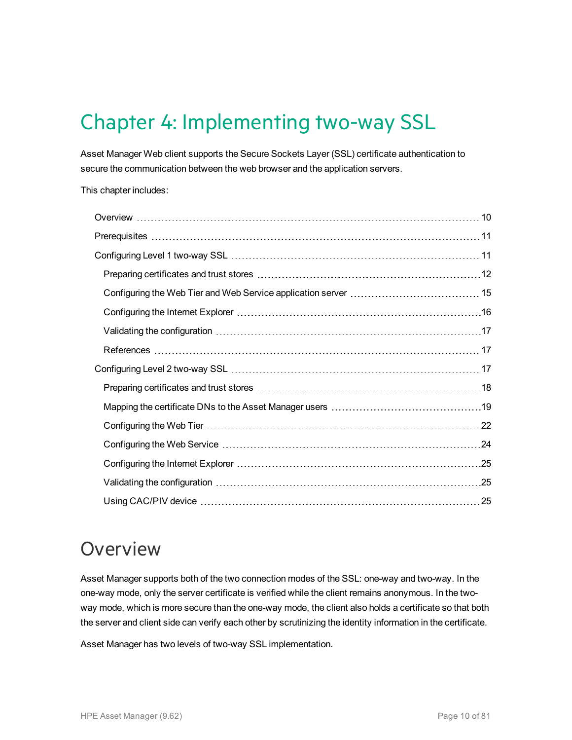## <span id="page-9-0"></span>Chapter 4: Implementing two-way SSL

Asset Manager Web client supports the Secure Sockets Layer (SSL) certificate authentication to secure the communication between the web browser and the application servers.

This chapter includes:

### <span id="page-9-1"></span>**Overview**

Asset Manager supports both of the two connection modes of the SSL: one-way and two-way. In the one-way mode, only the server certificate is verified while the client remains anonymous. In the twoway mode, which is more secure than the one-way mode, the client also holds a certificate so that both the server and client side can verify each other by scrutinizing the identity information in the certificate.

Asset Manager has two levels of two-way SSL implementation.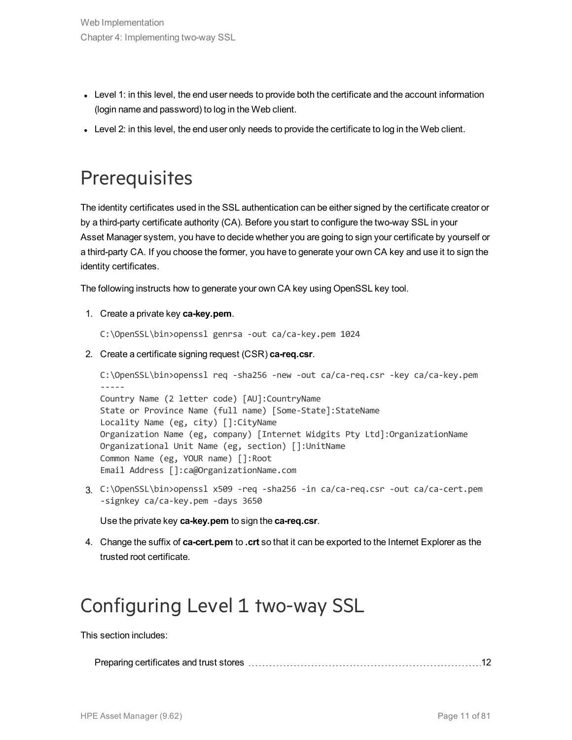- Level 1: in this level, the end user needs to provide both the certificate and the account information (login name and password) to log in the Web client.
- Level 2: in this level, the end user only needs to provide the certificate to log in the Web client.

### <span id="page-10-0"></span>**Prerequisites**

The identity certificates used in the SSL authentication can be either signed by the certificate creator or by a third-party certificate authority (CA). Before you start to configure the two-way SSL in your Asset Manager system, you have to decide whether you are going to sign your certificate by yourself or a third-party CA. If you choose the former, you have to generate your own CA key and use it to sign the identity certificates.

The following instructs how to generate your own CA key using OpenSSL key tool.

1. Create a private key **ca-key.pem**.

C:\OpenSSL\bin>openssl genrsa -out ca/ca-key.pem 1024

2. Create a certificate signing request (CSR) **ca-req.csr**.

C:\OpenSSL\bin>openssl req -sha256 -new -out ca/ca-req.csr -key ca/ca-key.pem ----- Country Name (2 letter code) [AU]:CountryName State or Province Name (full name) [Some-State]:StateName Locality Name (eg, city) []:CityName Organization Name (eg, company) [Internet Widgits Pty Ltd]:OrganizationName Organizational Unit Name (eg, section) []:UnitName Common Name (eg, YOUR name) []:Root Email Address []:ca@OrganizationName.com

3. C:\OpenSSL\bin>openssl x509 -req -sha256 -in ca/ca-req.csr -out ca/ca-cert.pem -signkey ca/ca-key.pem -days 3650

Use the private key **ca-key.pem** to sign the **ca-req.csr**.

4. Change the suffix of **ca-cert.pem** to **.crt** so that it can be exported to the Internet Explorer as the trusted root certificate.

### <span id="page-10-1"></span>Configuring Level 1 two-way SSL

This section includes:

Preparing [certificates](#page-11-0) and trust stores [12](#page-11-0)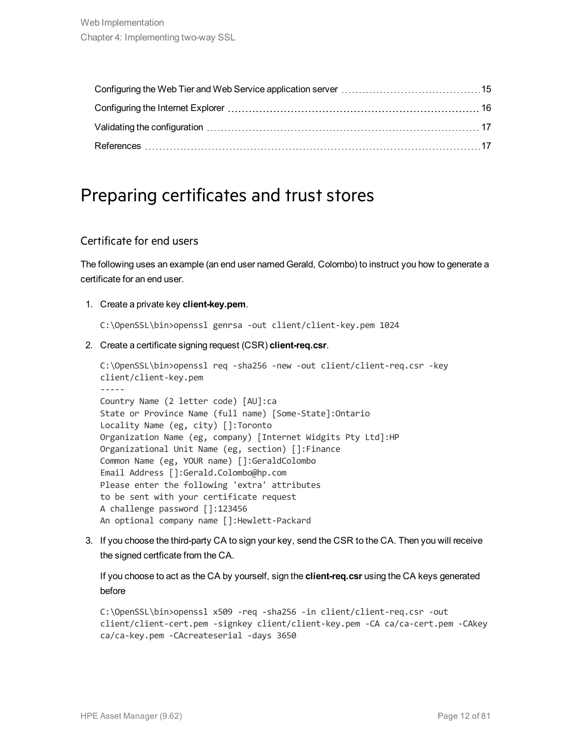### <span id="page-11-0"></span>Preparing certificates and trust stores

### <span id="page-11-1"></span>Certificate for end users

The following uses an example (an end user named Gerald, Colombo) to instruct you how to generate a certificate for an end user.

1. Create a private key **client-key.pem**.

C:\OpenSSL\bin>openssl genrsa -out client/client-key.pem 1024

2. Create a certificate signing request (CSR) **client-req.csr**.

```
C:\OpenSSL\bin>openssl req -sha256 -new -out client/client-req.csr -key
client/client-key.pem
-----
Country Name (2 letter code) [AU]:ca
State or Province Name (full name) [Some-State]:Ontario
Locality Name (eg, city) []:Toronto
Organization Name (eg, company) [Internet Widgits Pty Ltd]:HP
Organizational Unit Name (eg, section) []:Finance
Common Name (eg, YOUR name) []:GeraldColombo
Email Address []:Gerald.Colombo@hp.com
Please enter the following 'extra' attributes
to be sent with your certificate request
A challenge password []:123456
An optional company name []:Hewlett-Packard
```
3. If you choose the third-party CA to sign your key, send the CSR to the CA. Then you will receive the signed certficate from the CA.

If you choose to act as the CA by yourself, sign the **client-req.csr** using the CA keys generated before

```
C:\OpenSSL\bin>openssl x509 -req -sha256 -in client/client-req.csr -out
client/client-cert.pem -signkey client/client-key.pem -CA ca/ca-cert.pem -CAkey
ca/ca-key.pem -CAcreateserial -days 3650
```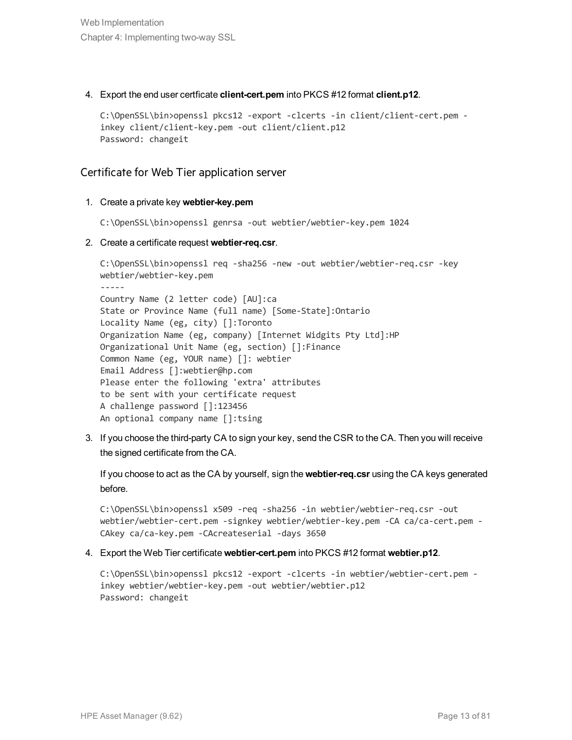Web Implementation Chapter 4: Implementing two-way SSL

4. Export the end user certficate **client-cert.pem** into PKCS #12 format **client.p12**.

```
C:\OpenSSL\bin>openssl pkcs12 -export -clcerts -in client/client-cert.pem -
inkey client/client-key.pem -out client/client.p12
Password: changeit
```
#### <span id="page-12-0"></span>Certificate for Web Tier application server

#### 1. Create a private key **webtier-key.pem**

C:\OpenSSL\bin>openssl genrsa -out webtier/webtier-key.pem 1024

#### 2. Create a certificate request **webtier-req.csr**.

C:\OpenSSL\bin>openssl req -sha256 -new -out webtier/webtier-req.csr -key webtier/webtier-key.pem ----- Country Name (2 letter code) [AU]:ca State or Province Name (full name) [Some-State]:Ontario Locality Name (eg, city) []:Toronto Organization Name (eg, company) [Internet Widgits Pty Ltd]:HP Organizational Unit Name (eg, section) []:Finance Common Name (eg, YOUR name) []: webtier Email Address []:webtier@hp.com Please enter the following 'extra' attributes to be sent with your certificate request A challenge password []:123456 An optional company name []:tsing

3. If you choose the third-party CA to sign your key, send the CSR to the CA. Then you will receive the signed certificate from the CA.

If you choose to act as the CA by yourself, sign the **webtier-req.csr** using the CA keys generated before.

C:\OpenSSL\bin>openssl x509 -req -sha256 -in webtier/webtier-req.csr -out webtier/webtier-cert.pem -signkey webtier/webtier-key.pem -CA ca/ca-cert.pem - CAkey ca/ca-key.pem -CAcreateserial -days 3650

4. Export the Web Tier certificate **webtier-cert.pem** into PKCS #12 format **webtier.p12**.

C:\OpenSSL\bin>openssl pkcs12 -export -clcerts -in webtier/webtier-cert.pem inkey webtier/webtier-key.pem -out webtier/webtier.p12 Password: changeit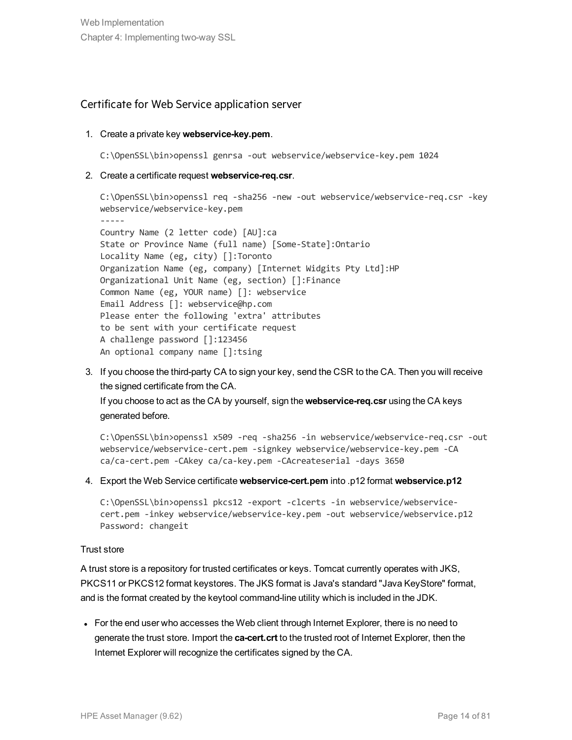#### <span id="page-13-0"></span>Certificate for Web Service application server

#### 1. Create a private key **webservice-key.pem**.

C:\OpenSSL\bin>openssl genrsa -out webservice/webservice-key.pem 1024

#### 2. Create a certificate request **webservice-req.csr**.

C:\OpenSSL\bin>openssl req -sha256 -new -out webservice/webservice-req.csr -key webservice/webservice-key.pem ----- Country Name (2 letter code) [AU]:ca State or Province Name (full name) [Some-State]:Ontario Locality Name (eg, city) []:Toronto Organization Name (eg, company) [Internet Widgits Pty Ltd]:HP Organizational Unit Name (eg, section) []:Finance Common Name (eg, YOUR name) []: webservice Email Address []: webservice@hp.com Please enter the following 'extra' attributes to be sent with your certificate request A challenge password []:123456 An optional company name []:tsing

3. If you choose the third-party CA to sign your key, send the CSR to the CA. Then you will receive the signed certificate from the CA.

If you choose to act as the CA by yourself, sign the **webservice-req.csr** using the CA keys generated before.

C:\OpenSSL\bin>openssl x509 -req -sha256 -in webservice/webservice-req.csr -out webservice/webservice-cert.pem -signkey webservice/webservice-key.pem -CA ca/ca-cert.pem -CAkey ca/ca-key.pem -CAcreateserial -days 3650

4. Export the Web Service certificate **webservice-cert.pem** into .p12 format **webservice.p12**

C:\OpenSSL\bin>openssl pkcs12 -export -clcerts -in webservice/webservicecert.pem -inkey webservice/webservice-key.pem -out webservice/webservice.p12 Password: changeit

#### <span id="page-13-1"></span>Trust store

A trust store is a repository for trusted certificates or keys. Tomcat currently operates with JKS, PKCS11 or PKCS12 format keystores. The JKS format is Java's standard "Java KeyStore" format, and is the format created by the keytool command-line utility which is included in the JDK.

• For the end user who accesses the Web client through Internet Explorer, there is no need to generate the trust store. Import the **ca-cert.crt** to the trusted root of Internet Explorer, then the Internet Explorer will recognize the certificates signed by the CA.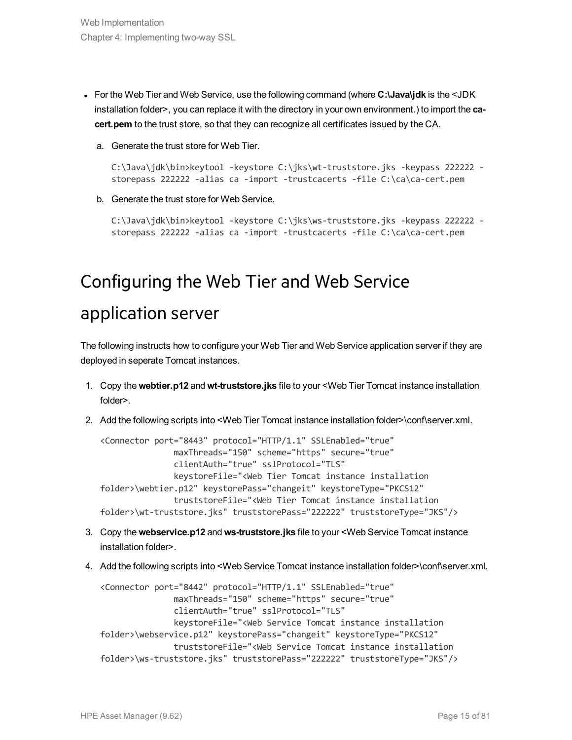- <sup>l</sup> For the Web Tier and Web Service, use the following command (where **C:\Java\jdk** is the <JDK installation folder>, you can replace it with the directory in your own environment.) to import the **cacert.pem** to the trust store, so that they can recognize all certificates issued by the CA.
	- a. Generate the trust store for Web Tier.

```
C:\Java\jdk\bin>keytool -keystore C:\jks\wt-truststore.jks -keypass 222222 -
storepass 222222 -alias ca -import -trustcacerts -file C:\ca\ca-cert.pem
```
b. Generate the trust store for Web Service.

```
C:\Java\jdk\bin>keytool -keystore C:\jks\ws-truststore.jks -keypass 222222 -
storepass 222222 -alias ca -import -trustcacerts -file C:\ca\ca-cert.pem
```
## <span id="page-14-0"></span>Configuring the Web Tier and Web Service application server

The following instructs how to configure your Web Tier and Web Service application server if they are deployed in seperate Tomcat instances.

- 1. Copy the **webtier.p12** and **wt-truststore.jks** file to your <Web Tier Tomcat instance installation folder>.
- 2. Add the following scripts into <Web Tier Tomcat instance installation folder>\conf\server.xml.

```
<Connector port="8443" protocol="HTTP/1.1" SSLEnabled="true"
               maxThreads="150" scheme="https" secure="true"
               clientAuth="true" sslProtocol="TLS"
               keystoreFile="<Web Tier Tomcat instance installation
folder>\webtier.p12" keystorePass="changeit" keystoreType="PKCS12"
               truststoreFile="<Web Tier Tomcat instance installation
folder>\wt-truststore.jks" truststorePass="222222" truststoreType="JKS"/>
```
- 3. Copy the **webservice.p12** and **ws-truststore.jks** file to your <Web Service Tomcat instance installation folder>.
- 4. Add the following scripts into <Web Service Tomcat instance installation folder>\conf\server.xml.

```
<Connector port="8442" protocol="HTTP/1.1" SSLEnabled="true"
               maxThreads="150" scheme="https" secure="true"
               clientAuth="true" sslProtocol="TLS"
               keystoreFile="<Web Service Tomcat instance installation
folder>\webservice.p12" keystorePass="changeit" keystoreType="PKCS12"
               truststoreFile="<Web Service Tomcat instance installation
folder>\ws-truststore.jks" truststorePass="222222" truststoreType="JKS"/>
```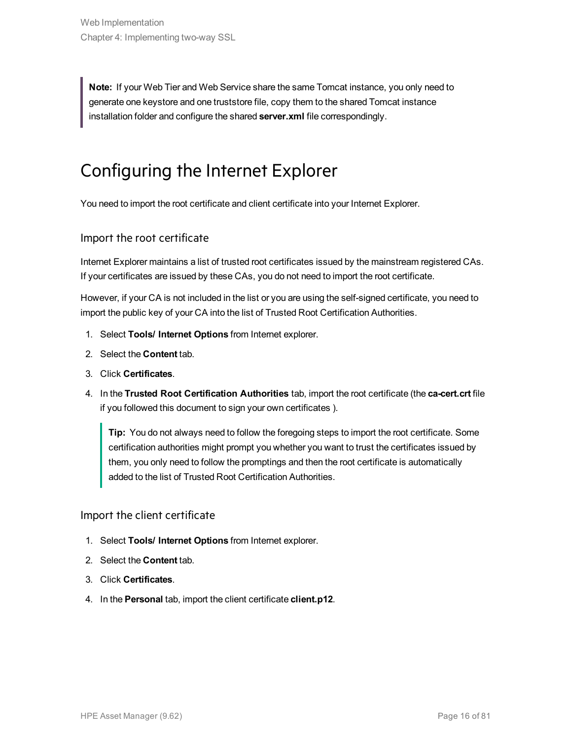**Note:** If your Web Tier and Web Service share the same Tomcat instance, you only need to generate one keystore and one truststore file, copy them to the shared Tomcat instance installation folder and configure the shared **server.xml** file correspondingly.

### <span id="page-15-0"></span>Configuring the Internet Explorer

You need to import the root certificate and client certificate into your Internet Explorer.

#### Import the root certificate

Internet Explorer maintains a list of trusted root certificates issued by the mainstream registered CAs. If your certificates are issued by these CAs, you do not need to import the root certificate.

However, if your CA is not included in the list or you are using the self-signed certificate, you need to import the public key of your CA into the list of Trusted Root Certification Authorities.

- 1. Select **Tools/ Internet Options** from Internet explorer.
- 2. Select the **Content** tab.
- 3. Click **Certificates**.
- 4. In the **Trusted Root Certification Authorities** tab, import the root certificate (the **ca-cert.crt** file if you followed this document to sign your own certificates ).

**Tip:** You do not always need to follow the foregoing steps to import the root certificate. Some certification authorities might prompt you whether you want to trust the certificates issued by them, you only need to follow the promptings and then the root certificate is automatically added to the list of Trusted Root Certification Authorities.

#### Import the client certificate

- 1. Select **Tools/ Internet Options** from Internet explorer.
- 2. Select the **Content** tab.
- 3. Click **Certificates**.
- 4. In the **Personal** tab, import the client certificate **client.p12**.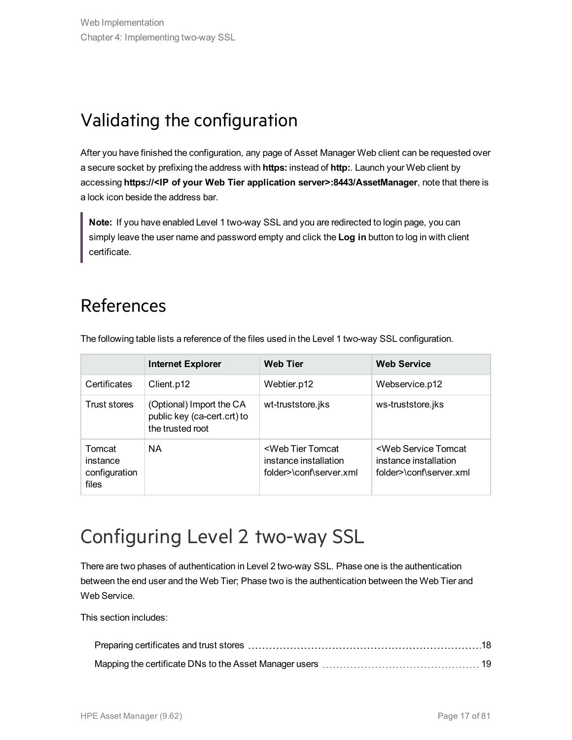### <span id="page-16-0"></span>Validating the configuration

After you have finished the configuration, any page of Asset Manager Web client can be requested over a secure socket by prefixing the address with **https:** instead of **http:**. Launch your Web client by accessing **https://<IP of your Web Tier application server>:8443/AssetManager**, note that there is a lock icon beside the address bar.

**Note:** If you have enabled Level 1 two-way SSL and you are redirected to login page, you can simply leave the user name and password empty and click the **Log in** button to log in with client certificate.

### <span id="page-16-1"></span>References

|                                              | <b>Internet Explorer</b>                                                    | <b>Web Tier</b>                                                                      | <b>Web Service</b>                                                                      |
|----------------------------------------------|-----------------------------------------------------------------------------|--------------------------------------------------------------------------------------|-----------------------------------------------------------------------------------------|
| Certificates                                 | Client.p12                                                                  | Webtier.p12                                                                          | Webservice.p12                                                                          |
| Trust stores                                 | (Optional) Import the CA<br>public key (ca-cert.crt) to<br>the trusted root | wt-truststore.jks                                                                    | ws-truststore.jks                                                                       |
| Tomcat<br>instance<br>configuration<br>files | <b>NA</b>                                                                   | <web tier="" tomcat<br="">instance installation<br/>folder&gt;\conf\server.xml</web> | <web service="" tomcat<br="">instance installation<br/>folder&gt;\conf\server.xml</web> |

The following table lists a reference of the files used in the Level 1 two-way SSL configuration.

## <span id="page-16-2"></span>Configuring Level 2 two-way SSL

There are two phases of authentication in Level 2 two-way SSL. Phase one is the authentication between the end user and the Web Tier; Phase two is the authentication between the Web Tier and Web Service.

This section includes: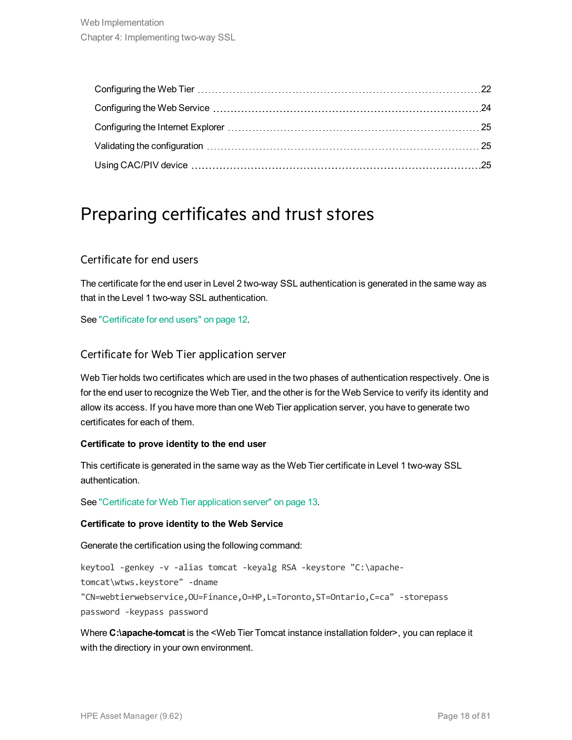### <span id="page-17-0"></span>Preparing certificates and trust stores

### Certificate for end users

The certificate for the end user in Level 2 two-way SSL authentication is generated in the same way as that in the Level 1 two-way SSL authentication.

See ["Certificate](#page-11-1) for end users" on page 12.

#### Certificate for Web Tier application server

Web Tier holds two certificates which are used in the two phases of authentication respectively. One is for the end user to recognize the Web Tier, and the other is for the Web Service to verify its identity and allow its access. If you have more than one Web Tier application server, you have to generate two certificates for each of them.

#### **Certificate to prove identity to the end user**

This certificate is generated in the same way as the Web Tier certificate in Level 1 two-way SSL authentication.

See ["Certificate](#page-12-0) for Web Tier application server" on page 13.

#### **Certificate to prove identity to the Web Service**

Generate the certification using the following command:

keytool -genkey -v -alias tomcat -keyalg RSA -keystore "C:\apachetomcat\wtws.keystore" -dname "CN=webtierwebservice,OU=Finance,O=HP,L=Toronto,ST=Ontario,C=ca" -storepass password -keypass password

Where **C:\apache-tomcat** is the <Web Tier Tomcat instance installation folder>, you can replace it with the directiory in your own environment.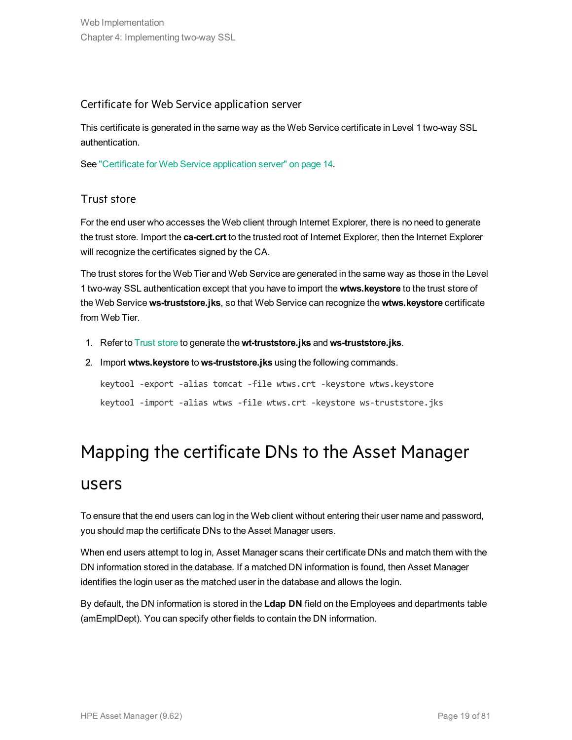#### Certificate for Web Service application server

This certificate is generated in the same way as the Web Service certificate in Level 1 two-way SSL authentication.

See ["Certificate](#page-13-0) for Web Service application server" on page 14.

#### Trust store

For the end user who accesses the Web client through Internet Explorer, there is no need to generate the trust store. Import the **ca-cert.crt** to the trusted root of Internet Explorer, then the Internet Explorer will recognize the certificates signed by the CA.

The trust stores for the Web Tier and Web Service are generated in the same way as those in the Level 1 two-way SSL authentication except that you have to import the **wtws.keystore** to the trust store of the Web Service **ws-truststore.jks**, so that Web Service can recognize the **wtws.keystore** certificate from Web Tier.

- 1. Refer to [Trust](#page-13-1) store to generate the **wt-truststore.jks** and **ws-truststore.jks**.
- 2. Import **wtws.keystore** to **ws-truststore.jks** using the following commands.

keytool -export -alias tomcat -file wtws.crt -keystore wtws.keystore keytool -import -alias wtws -file wtws.crt -keystore ws-truststore.jks

## <span id="page-18-0"></span>Mapping the certificate DNs to the Asset Manager

### users

To ensure that the end users can log in the Web client without entering their user name and password, you should map the certificate DNs to the Asset Manager users.

When end users attempt to log in, Asset Manager scans their certificate DNs and match them with the DN information stored in the database. If a matched DN information is found, then Asset Manager identifies the login user as the matched user in the database and allows the login.

By default, the DN information is stored in the **Ldap DN** field on the Employees and departments table (amEmplDept). You can specify other fields to contain the DN information.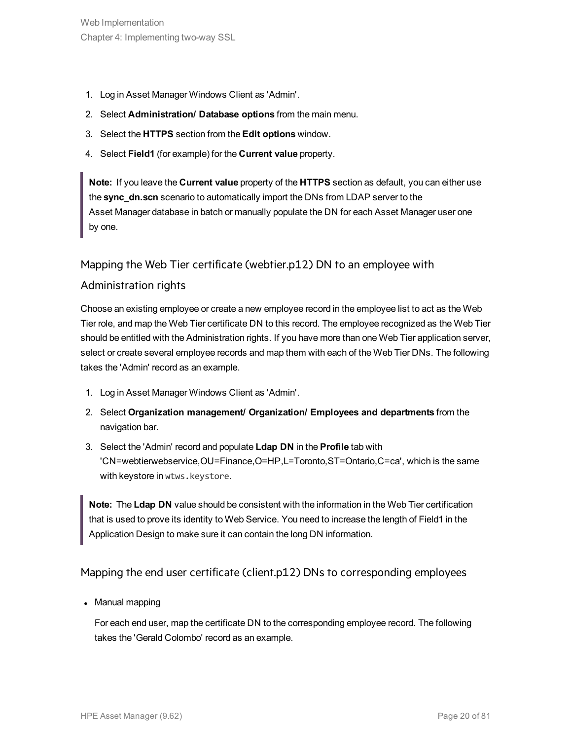- 1. Log in Asset Manager Windows Client as 'Admin'.
- 2. Select **Administration/ Database options** from the main menu.
- 3. Select the **HTTPS** section from the **Edit options** window.
- 4. Select **Field1** (for example) for the **Current value** property.

**Note:** If you leave the **Current value** property of the **HTTPS** section as default, you can either use the **sync\_dn.scn** scenario to automatically import the DNs from LDAP server to the Asset Manager database in batch or manually populate the DN for each Asset Manager user one by one.

#### Mapping the Web Tier certificate (webtier.p12) DN to an employee with

#### Administration rights

Choose an existing employee or create a new employee record in the employee list to act as the Web Tier role, and map the Web Tier certificate DN to this record. The employee recognized as the Web Tier should be entitled with the Administration rights. If you have more than one Web Tier application server, select or create several employee records and map them with each of the Web Tier DNs. The following takes the 'Admin' record as an example.

- 1. Log in Asset Manager Windows Client as 'Admin'.
- 2. Select **Organization management/ Organization/ Employees and departments** from the navigation bar.
- 3. Select the 'Admin' record and populate **Ldap DN** in the **Profile** tab with 'CN=webtierwebservice,OU=Finance,O=HP,L=Toronto,ST=Ontario,C=ca', which is the same with keystore in wtws.keystore.

**Note:** The **Ldap DN** value should be consistent with the information in the Web Tier certification that is used to prove its identity to Web Service. You need to increase the length of Field1 in the Application Design to make sure it can contain the long DN information.

#### Mapping the end user certificate (client.p12) DNs to corresponding employees

• Manual mapping

For each end user, map the certificate DN to the corresponding employee record. The following takes the 'Gerald Colombo' record as an example.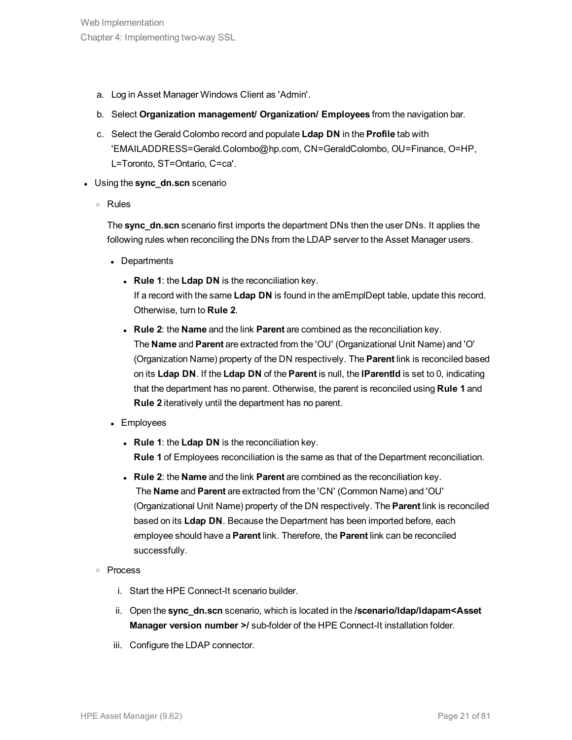- a. Log in Asset Manager Windows Client as 'Admin'.
- b. Select **Organization management/ Organization/ Employees** from the navigation bar.
- c. Select the Gerald Colombo record and populate **Ldap DN** in the **Profile** tab with 'EMAILADDRESS=Gerald.Colombo@hp.com, CN=GeraldColombo, OU=Finance, O=HP, L=Toronto, ST=Ontario, C=ca'.
- **.** Using the **sync\_dn.scn** scenario
	- <sup>o</sup> Rules

The **sync\_dn.scn** scenario first imports the department DNs then the user DNs. It applies the following rules when reconciling the DNs from the LDAP server to the Asset Manager users.

- Departments
	- <sup>l</sup> **Rule 1**: the **Ldap DN** is the reconciliation key.

If a record with the same **Ldap DN** is found in the amEmplDept table, update this record. Otherwise, turn to **Rule 2**.

- <sup>l</sup> **Rule 2**: the **Name** and the link **Parent** are combined as the reconciliation key. The **Name** and **Parent** are extracted from the 'OU' (Organizational Unit Name) and 'O' (Organization Name) property of the DN respectively. The **Parent** link is reconciled based on its **Ldap DN**. If the **Ldap DN** of the **Parent** is null, the **lParentId** is set to 0, indicating that the department has no parent. Otherwise, the parent is reconciled using **Rule 1** and **Rule 2** iteratively until the department has no parent.
- Employees
	- <sup>l</sup> **Rule 1**: the **Ldap DN** is the reconciliation key. **Rule 1** of Employees reconciliation is the same as that of the Department reconciliation.
	- **Rule 2**: the **Name** and the link **Parent** are combined as the reconciliation key. The **Name** and **Parent** are extracted from the 'CN' (Common Name) and 'OU' (Organizational Unit Name) property of the DN respectively. The **Parent** link is reconciled based on its **Ldap DN**. Because the Department has been imported before, each employee should have a **Parent** link. Therefore, the **Parent** link can be reconciled successfully.
- <sup>o</sup> Process
	- i. Start the HPE Connect-It scenario builder.
	- ii. Open the **sync\_dn.scn** scenario, which is located in the **/scenario/ldap/ldapam<Asset Manager version number >/** sub-folder of the HPE Connect-It installation folder.
	- iii. Configure the LDAP connector.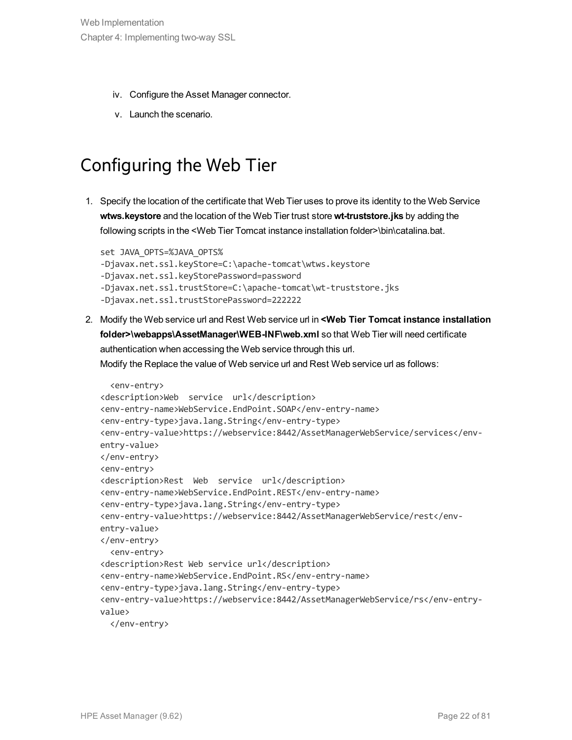- iv. Configure the Asset Manager connector.
- v. Launch the scenario.

### <span id="page-21-0"></span>Configuring the Web Tier

1. Specify the location of the certificate that Web Tier uses to prove its identity to the Web Service **wtws.keystore** and the location of the Web Tier trust store **wt-truststore.jks** by adding the following scripts in the <Web Tier Tomcat instance installation folder>\bin\catalina.bat.

```
set JAVA_OPTS=%JAVA_OPTS%
-Djavax.net.ssl.keyStore=C:\apache-tomcat\wtws.keystore
-Djavax.net.ssl.keyStorePassword=password
-Djavax.net.ssl.trustStore=C:\apache-tomcat\wt-truststore.jks
-Djavax.net.ssl.trustStorePassword=222222
```
2. Modify the Web service url and Rest Web service url in **<Web Tier Tomcat instance installation folder>\webapps\AssetManager\WEB-INF\web.xml** so that Web Tier will need certificate authentication when accessing the Web service through this url. Modify the Replace the value of Web service url and Rest Web service url as follows:

```
<env-entry>
<description>Web service url</description>
<env-entry-name>WebService.EndPoint.SOAP</env-entry-name>
<env-entry-type>java.lang.String</env-entry-type>
<env-entry-value>https://webservice:8442/AssetManagerWebService/services</env-
entry-value>
</env-entry>
<env-entry>
<description>Rest Web service url</description>
<env-entry-name>WebService.EndPoint.REST</env-entry-name>
<env-entry-type>java.lang.String</env-entry-type>
<env-entry-value>https://webservice:8442/AssetManagerWebService/rest</env-
entry-value>
</env-entry>
  <env-entry>
<description>Rest Web service url</description>
<env-entry-name>WebService.EndPoint.RS</env-entry-name>
<env-entry-type>java.lang.String</env-entry-type>
<env-entry-value>https://webservice:8442/AssetManagerWebService/rs</env-entry-
value>
  </env-entry>
```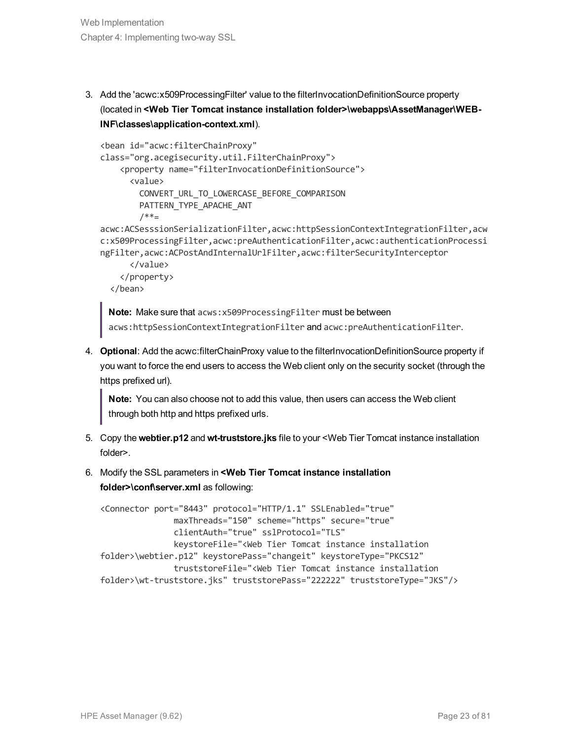3. Add the 'acwc:x509ProcessingFilter' value to the filterInvocationDefinitionSource property (located in **<Web Tier Tomcat instance installation folder>\webapps\AssetManager\WEB-INF\classes\application-context.xml**).

```
<bean id="acwc:filterChainProxy"
class="org.acegisecurity.util.FilterChainProxy">
    <property name="filterInvocationDefinitionSource">
      <value>
       CONVERT_URL_TO_LOWERCASE_BEFORE_COMPARISON
       PATTERN_TYPE_APACHE_ANT
       /**=
acwc:ACSesssionSerializationFilter,acwc:httpSessionContextIntegrationFilter,acw
c:x509ProcessingFilter,acwc:preAuthenticationFilter,acwc:authenticationProcessi
ngFilter,acwc:ACPostAndInternalUrlFilter,acwc:filterSecurityInterceptor
     </value>
    </property>
  </bean>
```
**Note:** Make sure that acws:x509ProcessingFilter must be between acws:httpSessionContextIntegrationFilter and acwc:preAuthenticationFilter.

4. **Optional**: Add the acwc:filterChainProxy value to the filterInvocationDefinitionSource property if you want to force the end users to access the Web client only on the security socket (through the https prefixed url).

**Note:** You can also choose not to add this value, then users can access the Web client through both http and https prefixed urls.

- 5. Copy the **webtier.p12** and **wt-truststore.jks** file to your <Web Tier Tomcat instance installation folder>.
- 6. Modify the SSL parameters in **<Web Tier Tomcat instance installation folder>\conf\server.xml** as following:

<Connector port="8443" protocol="HTTP/1.1" SSLEnabled="true" maxThreads="150" scheme="https" secure="true" clientAuth="true" sslProtocol="TLS" keystoreFile="<Web Tier Tomcat instance installation folder>\webtier.p12" keystorePass="changeit" keystoreType="PKCS12" truststoreFile="<Web Tier Tomcat instance installation folder>\wt-truststore.jks" truststorePass="222222" truststoreType="JKS"/>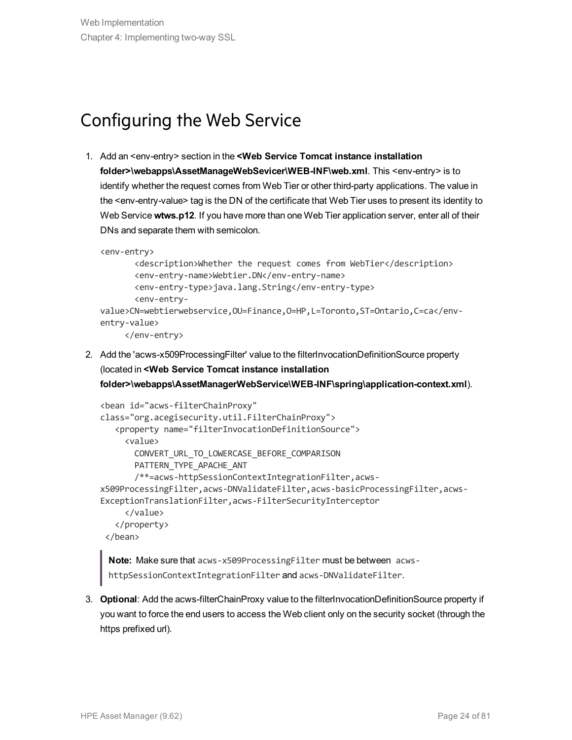### <span id="page-23-0"></span>Configuring the Web Service

1. Add an <env-entry> section in the **<Web Service Tomcat instance installation folder>\webapps\AssetManageWebSevicer\WEB-INF\web.xml**. This <env-entry> is to identify whether the request comes from Web Tier or other third-party applications. The value in the <env-entry-value> tag is the DN of the certificate that Web Tier uses to present its identity to Web Service **wtws.p12**. If you have more than one Web Tier application server, enter all of their DNs and separate them with semicolon.

```
<env-entry>
       <description>Whether the request comes from WebTier</description>
       <env-entry-name>Webtier.DN</env-entry-name>
       <env-entry-type>java.lang.String</env-entry-type>
       <env-entry-
value>CN=webtierwebservice,OU=Finance,O=HP,L=Toronto,ST=Ontario,C=ca</env-
entry-value>
     </env-entry>
```
2. Add the 'acws-x509ProcessingFilter' value to the filterInvocationDefinitionSource property (located in **<Web Service Tomcat instance installation folder>\webapps\AssetManagerWebService\WEB-INF\spring\application-context.xml**).

```
<bean id="acws-filterChainProxy"
class="org.acegisecurity.util.FilterChainProxy">
   <property name="filterInvocationDefinitionSource">
     <value>
       CONVERT_URL_TO_LOWERCASE_BEFORE_COMPARISON
       PATTERN_TYPE_APACHE_ANT
       /**=acws-httpSessionContextIntegrationFilter,acws-
x509ProcessingFilter,acws-DNValidateFilter,acws-basicProcessingFilter,acws-
ExceptionTranslationFilter,acws-FilterSecurityInterceptor
     </value>
   </property>
</bean>
```
**Note:** Make sure that acws-x509ProcessingFilter must be between acwshttpSessionContextIntegrationFilter and acws-DNValidateFilter.

3. **Optional**: Add the acws-filterChainProxy value to the filterInvocationDefinitionSource property if you want to force the end users to access the Web client only on the security socket (through the https prefixed url).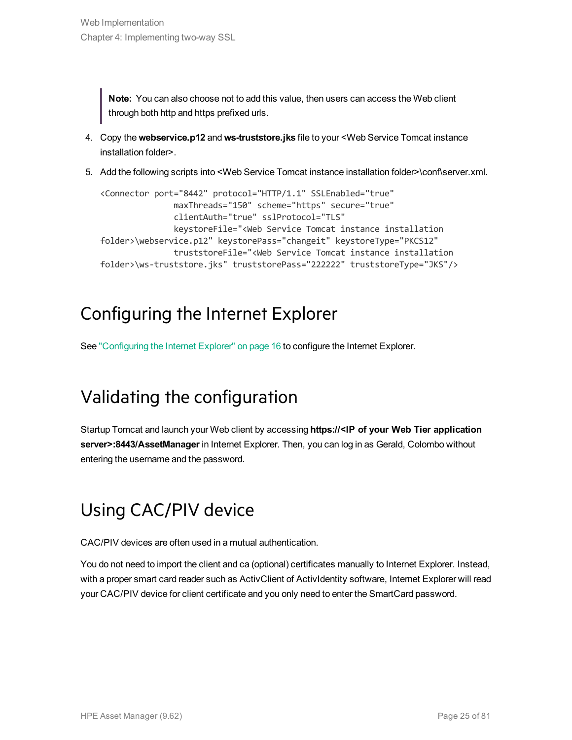**Note:** You can also choose not to add this value, then users can access the Web client through both http and https prefixed urls.

- 4. Copy the **webservice.p12** and **ws-truststore.jks** file to your <Web Service Tomcat instance installation folder>.
- 5. Add the following scripts into <Web Service Tomcat instance installation folder>\conf\server.xml.

```
<Connector port="8442" protocol="HTTP/1.1" SSLEnabled="true"
               maxThreads="150" scheme="https" secure="true"
               clientAuth="true" sslProtocol="TLS"
               keystoreFile="<Web Service Tomcat instance installation
folder>\webservice.p12" keystorePass="changeit" keystoreType="PKCS12"
               truststoreFile="<Web Service Tomcat instance installation
folder>\ws-truststore.jks" truststorePass="222222" truststoreType="JKS"/>
```
### <span id="page-24-0"></span>Configuring the Internet Explorer

<span id="page-24-1"></span>See ["Configuring](#page-15-0) the Internet Explorer" on page 16 to configure the Internet Explorer.

### Validating the configuration

Startup Tomcat and launch your Web client by accessing **https://<IP of your Web Tier application server>:8443/AssetManager** in Internet Explorer. Then, you can log in as Gerald, Colombo without entering the username and the password.

### <span id="page-24-2"></span>Using CAC/PIV device

CAC/PIV devices are often used in a mutual authentication.

You do not need to import the client and ca (optional) certificates manually to Internet Explorer. Instead, with a proper smart card reader such as ActivClient of ActivIdentity software, Internet Explorer will read your CAC/PIV device for client certificate and you only need to enter the SmartCard password.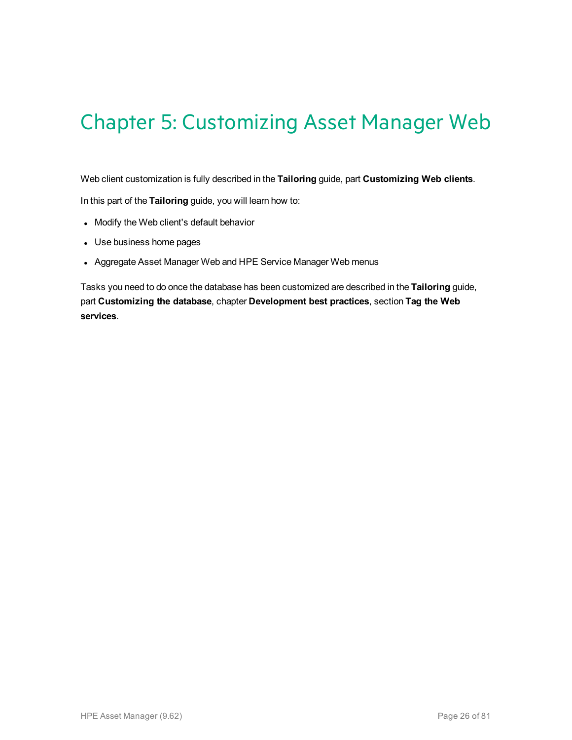## <span id="page-25-0"></span>Chapter 5: Customizing Asset Manager Web

Web client customization is fully described in the **Tailoring** guide, part **Customizing Web clients**.

In this part of the **Tailoring** guide, you will learn how to:

- Modify the Web client's default behavior
- Use business home pages
- Aggregate Asset Manager Web and HPE Service Manager Web menus

Tasks you need to do once the database has been customized are described in the **Tailoring** guide, part **Customizing the database**, chapter **Development best practices**, section **Tag the Web services**.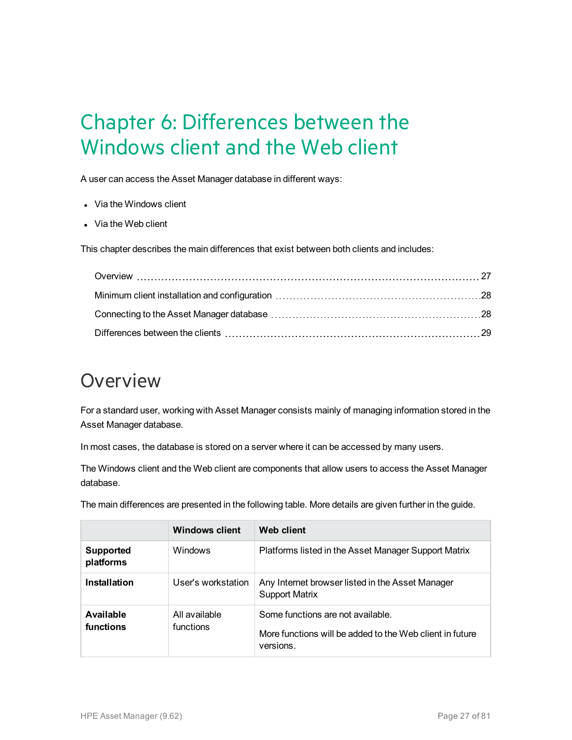## <span id="page-26-0"></span>Chapter 6: Differences between the Windows client and the Web client

A user can access the Asset Manager database in different ways:

- Via the Windows client
- Via the Web client

This chapter describes the main differences that exist between both clients and includes:

## <span id="page-26-1"></span>**Overview**

For a standard user, working with Asset Manager consists mainly of managing information stored in the Asset Manager database.

In most cases, the database is stored on a server where it can be accessed by many users.

The Windows client and the Web client are components that allow users to access the Asset Manager database.

The main differences are presented in the following table. More details are given further in the guide.

|                               | <b>Windows client</b>      | Web client                                                                                                 |
|-------------------------------|----------------------------|------------------------------------------------------------------------------------------------------------|
| <b>Supported</b><br>platforms | Windows                    | Platforms listed in the Asset Manager Support Matrix                                                       |
| <b>Installation</b>           | User's workstation         | Any Internet browser listed in the Asset Manager<br>Support Matrix                                         |
| Available<br>functions        | All available<br>functions | Some functions are not available.<br>More functions will be added to the Web client in future<br>versions. |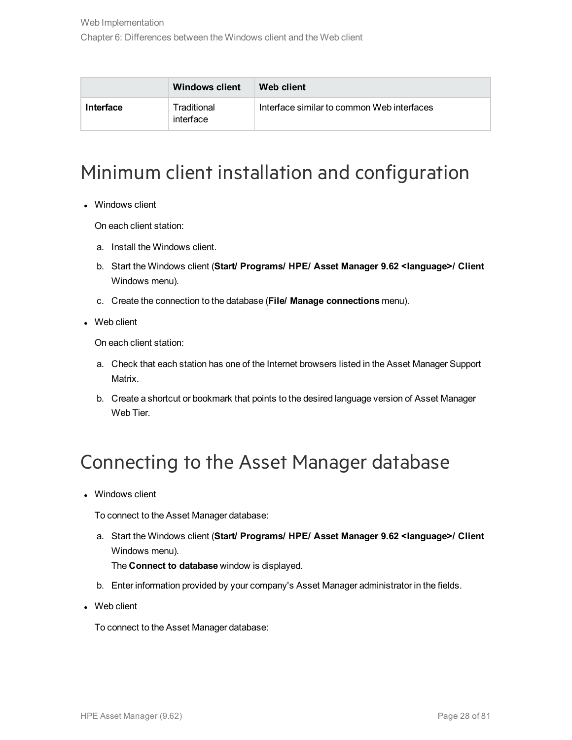|           | <b>Windows client</b>    | Web client                                 |
|-----------|--------------------------|--------------------------------------------|
| Interface | Traditional<br>interface | Interface similar to common Web interfaces |

### <span id="page-27-0"></span>Minimum client installation and configuration

• Windows client

On each client station:

- a. Install the Windows client.
- b. Start the Windows client (**Start/ Programs/ HPE/ Asset Manager 9.62 <language>/ Client** Windows menu).
- c. Create the connection to the database (**File/ Manage connections** menu).
- Web client

On each client station:

- a. Check that each station has one of the Internet browsers listed in the Asset Manager Support Matrix.
- b. Create a shortcut or bookmark that points to the desired language version of Asset Manager Web Tier.

### <span id="page-27-1"></span>Connecting to the Asset Manager database

• Windows client

To connect to the Asset Manager database:

a. Start the Windows client (**Start/ Programs/ HPE/ Asset Manager 9.62 <language>/ Client** Windows menu).

The **Connect to database** window is displayed.

- b. Enter information provided by your company's Asset Manager administrator in the fields.
- Web client

To connect to the Asset Manager database: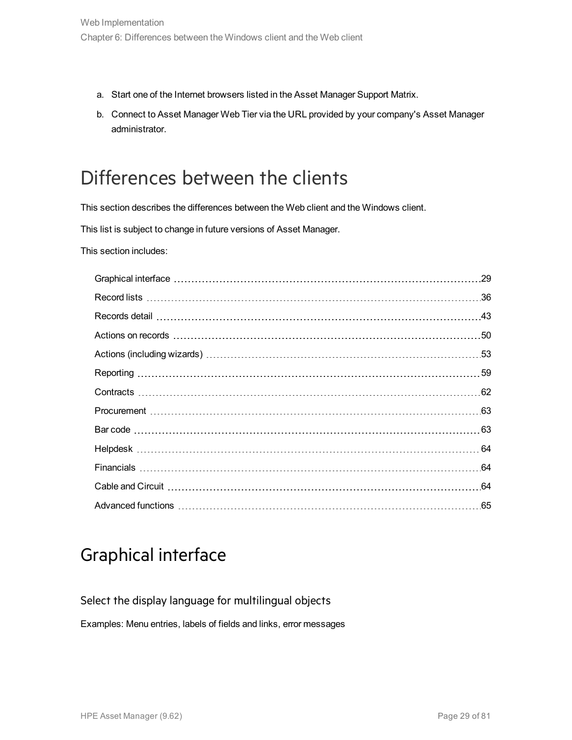- a. Start one of the Internet browsers listed in the Asset Manager Support Matrix.
- b. Connect to Asset Manager Web Tier via the URL provided by your company's Asset Manager administrator.

### <span id="page-28-0"></span>Differences between the clients

This section describes the differences between the Web client and the Windows client.

This list is subject to change in future versions of Asset Manager.

This section includes:

### <span id="page-28-1"></span>Graphical interface

Select the display language for multilingual objects

Examples: Menu entries, labels of fields and links, error messages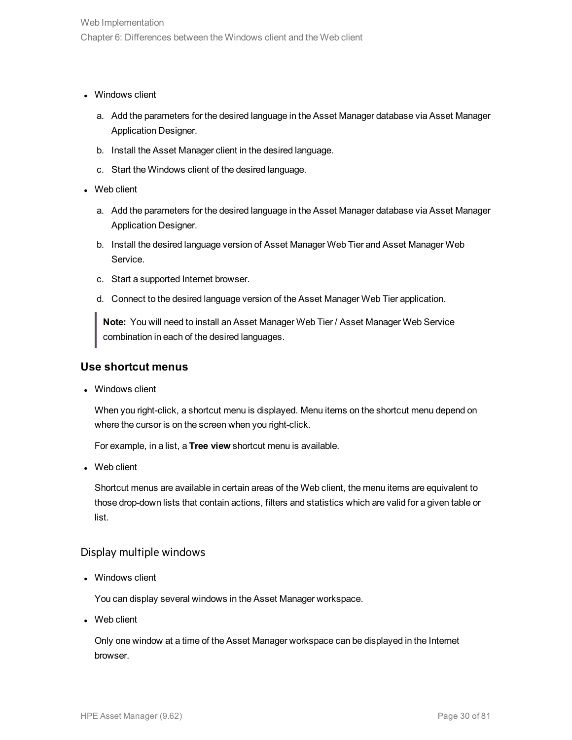- Windows client
	- a. Add the parameters for the desired language in the Asset Manager database via Asset Manager Application Designer.
	- b. Install the Asset Manager client in the desired language.
	- c. Start the Windows client of the desired language.
- $\bullet$  Web client
	- a. Add the parameters for the desired language in the Asset Manager database via Asset Manager Application Designer.
	- b. Install the desired language version of Asset Manager Web Tier and Asset Manager Web Service.
	- c. Start a supported Internet browser.
	- d. Connect to the desired language version of the Asset Manager Web Tier application.

**Note:** You will need to install an Asset Manager Web Tier / Asset Manager Web Service combination in each of the desired languages.

#### **Use shortcut menus**

• Windows client

When you right-click, a shortcut menu is displayed. Menu items on the shortcut menu depend on where the cursor is on the screen when you right-click.

For example, in a list, a **Tree view** shortcut menu is available.

• Web client

Shortcut menus are available in certain areas of the Web client, the menu items are equivalent to those drop-down lists that contain actions, filters and statistics which are valid for a given table or list.

#### Display multiple windows

• Windows client

You can display several windows in the Asset Manager workspace.

• Web client

Only one window at a time of the Asset Manager workspace can be displayed in the Internet browser.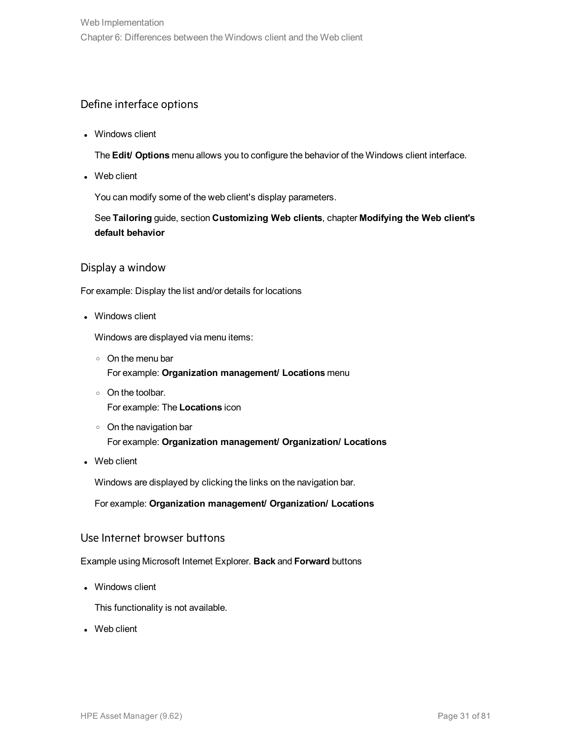### Define interface options

• Windows client

The **Edit/ Options** menu allows you to configure the behavior of the Windows client interface.

• Web client

You can modify some of the web client's display parameters.

See **Tailoring** guide, section **Customizing Web clients**, chapter **Modifying the Web client's default behavior**

#### Display a window

For example: Display the list and/or details for locations

• Windows client

Windows are displayed via menu items:

- <sup>o</sup> On the menu bar For example: **Organization management/ Locations** menu
- <sup>o</sup> On the toolbar. For example: The **Locations** icon
- <sup>o</sup> On the navigation bar For example: **Organization management/ Organization/ Locations**
- Web client

Windows are displayed by clicking the links on the navigation bar.

For example: **Organization management/ Organization/ Locations**

#### Use Internet browser buttons

Example using Microsoft Internet Explorer. **Back** and **Forward** buttons

• Windows client

This functionality is not available.

 $\bullet$  Web client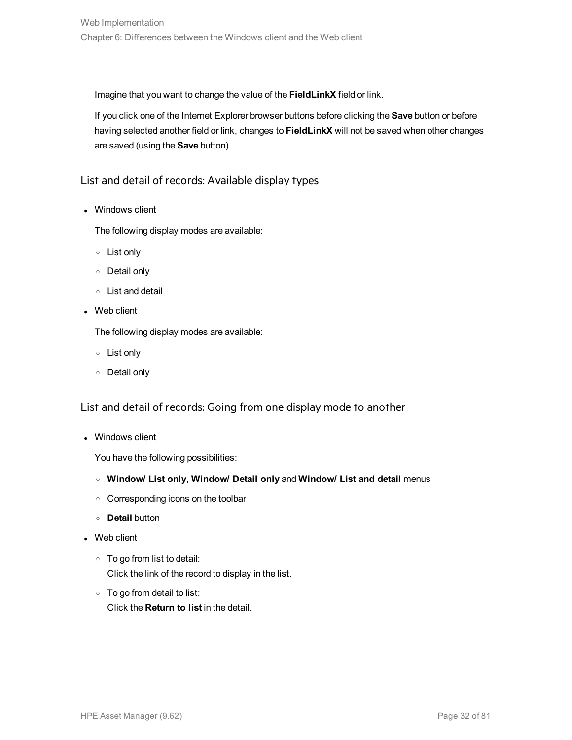Imagine that you want to change the value of the **FieldLinkX** field or link.

If you click one of the Internet Explorer browser buttons before clicking the **Save** button or before having selected another field or link, changes to **FieldLinkX** will not be saved when other changes are saved (using the **Save** button).

List and detail of records: Available display types

• Windows client

The following display modes are available:

- <sup>o</sup> List only
- <sup>o</sup> Detail only
- <sup>o</sup> List and detail
- $\bullet$  Web client

The following display modes are available:

- <sup>o</sup> List only
- <sup>o</sup> Detail only

List and detail of records: Going from one display mode to another

• Windows client

You have the following possibilities:

- <sup>o</sup> **Window/ List only**, **Window/ Detail only** and **Window/ List and detail** menus
- <sup>o</sup> Corresponding icons on the toolbar
- <sup>o</sup> **Detail** button
- $\bullet$  Web client
	- <sup>o</sup> To go from list to detail: Click the link of the record to display in the list.
	- <sup>o</sup> To go from detail to list: Click the **Return to list** in the detail.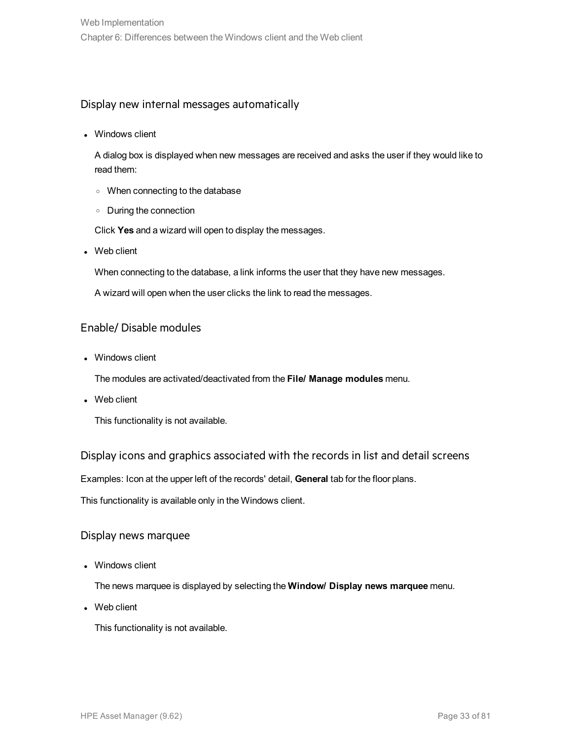#### Display new internal messages automatically

• Windows client

A dialog box is displayed when new messages are received and asks the user if they would like to read them:

- <sup>o</sup> When connecting to the database
- <sup>o</sup> During the connection

Click **Yes** and a wizard will open to display the messages.

• Web client

When connecting to the database, a link informs the user that they have new messages.

A wizard will open when the user clicks the link to read the messages.

#### Enable/ Disable modules

• Windows client

The modules are activated/deactivated from the **File/ Manage modules** menu.

• Web client

This functionality is not available.

Display icons and graphics associated with the records in list and detail screens

Examples: Icon at the upper left of the records' detail, **General** tab for the floor plans.

This functionality is available only in the Windows client.

#### Display news marquee

• Windows client

The news marquee is displayed by selecting the **Window/ Display news marquee** menu.

• Web client

This functionality is not available.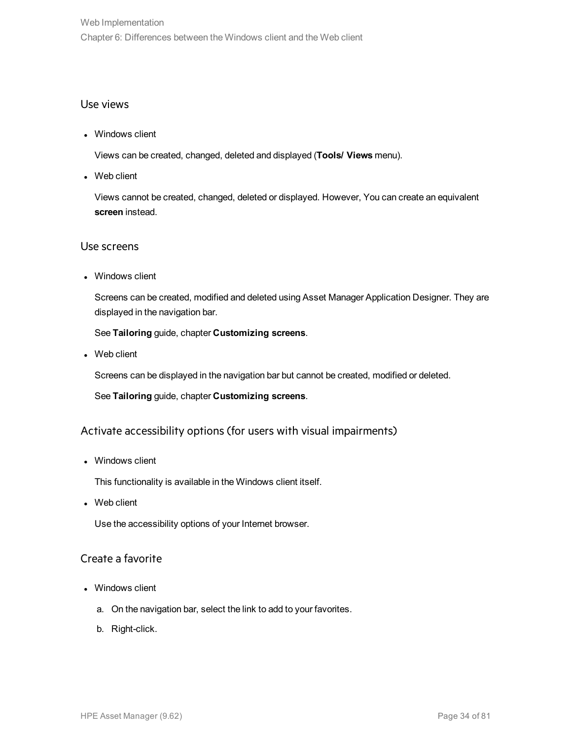Web Implementation Chapter 6: Differences between the Windows client and the Web client

### Use views

• Windows client

Views can be created, changed, deleted and displayed (**Tools/ Views** menu).

 $\bullet$  Web client

Views cannot be created, changed, deleted or displayed. However, You can create an equivalent **screen** instead.

#### Use screens

• Windows client

Screens can be created, modified and deleted using Asset Manager Application Designer. They are displayed in the navigation bar.

See **Tailoring** guide, chapter **Customizing screens**.

• Web client

Screens can be displayed in the navigation bar but cannot be created, modified or deleted.

See **Tailoring** guide, chapter **Customizing screens**.

#### Activate accessibility options(for users with visual impairments)

• Windows client

This functionality is available in the Windows client itself.

• Web client

Use the accessibility options of your Internet browser.

#### Create a favorite

- Windows client
	- a. On the navigation bar, select the link to add to your favorites.
	- b. Right-click.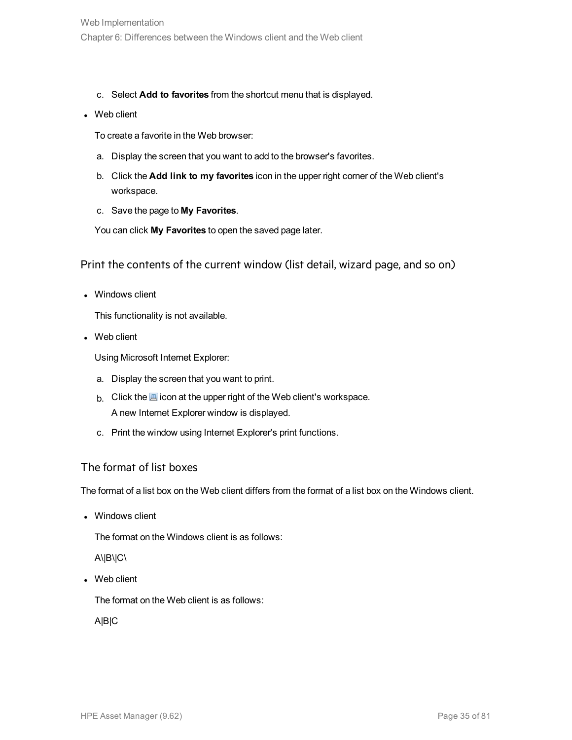- c. Select **Add to favorites** from the shortcut menu that is displayed.
- Web client

To create a favorite in the Web browser:

- a. Display the screen that you want to add to the browser's favorites.
- b. Click the **Add link to my favorites** icon in the upper right corner of the Web client's workspace.
- c. Save the page to **My Favorites**.

You can click **My Favorites** to open the saved page later.

Print the contents of the current window (list detail, wizard page, and so on)

• Windows client

This functionality is not available.

• Web client

Using Microsoft Internet Explorer:

- a. Display the screen that you want to print.
- b. Click the  $\blacksquare$  icon at the upper right of the Web client's workspace. A new Internet Explorer window is displayed.
- c. Print the window using Internet Explorer's print functions.

#### The format of list boxes

The format of a list box on the Web client differs from the format of a list box on the Windows client.

• Windows client

The format on the Windows client is as follows:

 $A\|B\|C\|$ 

 $\bullet$  Web client

The format on the Web client is as follows:

A|B|C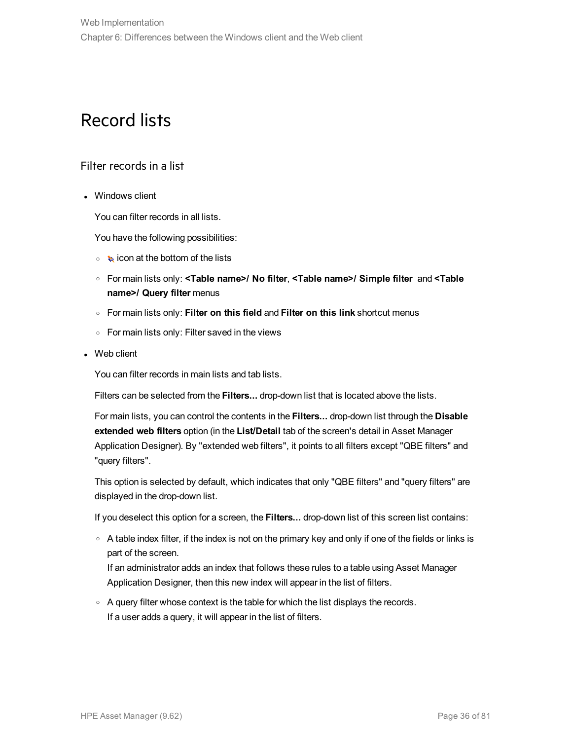### <span id="page-35-0"></span>Record lists

### Filter records in a list

• Windows client

You can filter records in all lists.

You have the following possibilities:

- $\circ$   $\bullet$  icon at the bottom of the lists
- <sup>o</sup> For main lists only: **<Table name>/ No filter**, **<Table name>/ Simple filter** and **<Table name>/ Query filter** menus
- <sup>o</sup> For main lists only: **Filter on this field** and **Filter on this link** shortcut menus
- <sup>o</sup> For main lists only: Filter saved in the views
- Web client

You can filter records in main lists and tab lists.

Filters can be selected from the **Filters...** drop-down list that is located above the lists.

For main lists, you can control the contents in the **Filters...** drop-down list through the **Disable extended web filters** option (in the **List/Detail** tab of the screen's detail in Asset Manager Application Designer). By "extended web filters", it points to all filters except "QBE filters" and "query filters".

This option is selected by default, which indicates that only "QBE filters" and "query filters" are displayed in the drop-down list.

If you deselect this option for a screen, the **Filters...** drop-down list of this screen list contains:

 $\circ$  A table index filter, if the index is not on the primary key and only if one of the fields or links is part of the screen.

If an administrator adds an index that follows these rules to a table using Asset Manager Application Designer, then this new index will appear in the list of filters.

 $\circ$  A query filter whose context is the table for which the list displays the records. If a user adds a query, it will appear in the list of filters.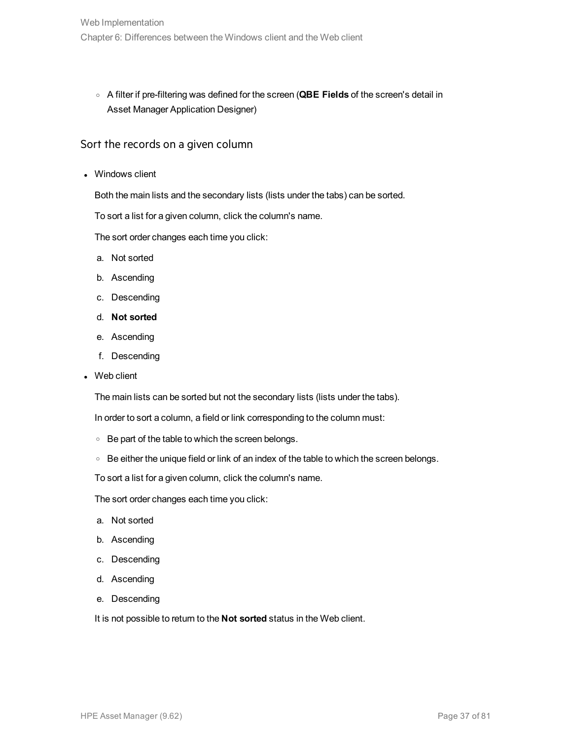<sup>o</sup> A filter if pre-filtering was defined for the screen (**QBE Fields** of the screen's detail in Asset Manager Application Designer)

#### Sort the records on a given column

• Windows client

Both the main lists and the secondary lists (lists under the tabs) can be sorted.

To sort a list for a given column, click the column's name.

The sort order changes each time you click:

- a. Not sorted
- b. Ascending
- c. Descending
- d. **Not sorted**
- e. Ascending
- f. Descending
- Web client

The main lists can be sorted but not the secondary lists (lists under the tabs).

In order to sort a column, a field or link corresponding to the column must:

- Be part of the table to which the screen belongs.
- Be either the unique field or link of an index of the table to which the screen belongs.

To sort a list for a given column, click the column's name.

The sort order changes each time you click:

- a. Not sorted
- b. Ascending
- c. Descending
- d. Ascending
- e. Descending

It is not possible to return to the **Not sorted** status in the Web client.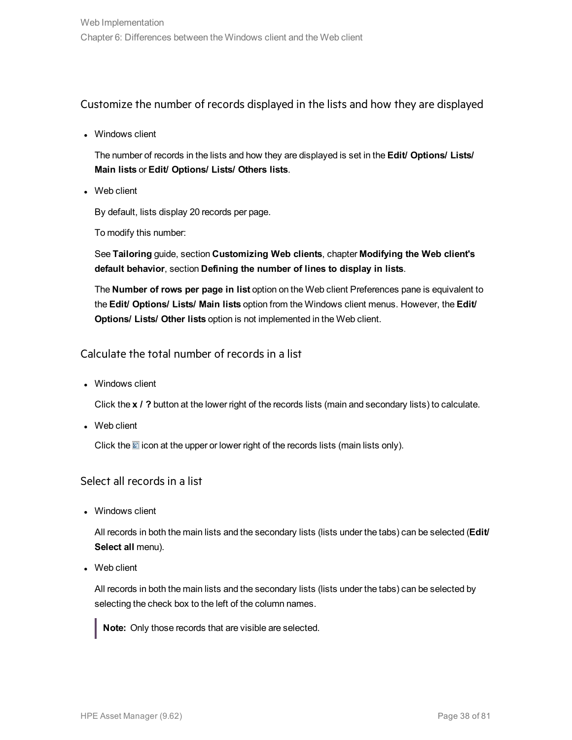### Customize the number of records displayed in the lists and how they are displayed

• Windows client

The number of records in the lists and how they are displayed is set in the **Edit/ Options/ Lists/ Main lists** or **Edit/ Options/ Lists/ Others lists**.

• Web client

By default, lists display 20 records per page.

To modify this number:

See **Tailoring** guide, section **Customizing Web clients**, chapter **Modifying the Web client's default behavior**, section **Defining the number of lines to display in lists**.

The **Number of rows per page in list** option on the Web client Preferences pane is equivalent to the **Edit/ Options/ Lists/ Main lists** option from the Windows client menus. However, the **Edit/ Options/ Lists/ Other lists** option is not implemented in the Web client.

#### Calculate the total number of recordsin a list

• Windows client

Click the **x / ?** button at the lower right of the records lists (main and secondary lists) to calculate.

• Web client

Click the  $\overline{z}$  icon at the upper or lower right of the records lists (main lists only).

#### Select all records in a list

. Windows client

All records in both the main lists and the secondary lists (lists under the tabs) can be selected (**Edit/ Select all** menu).

 $\bullet$  Web client

All records in both the main lists and the secondary lists (lists under the tabs) can be selected by selecting the check box to the left of the column names.

**Note:** Only those records that are visible are selected.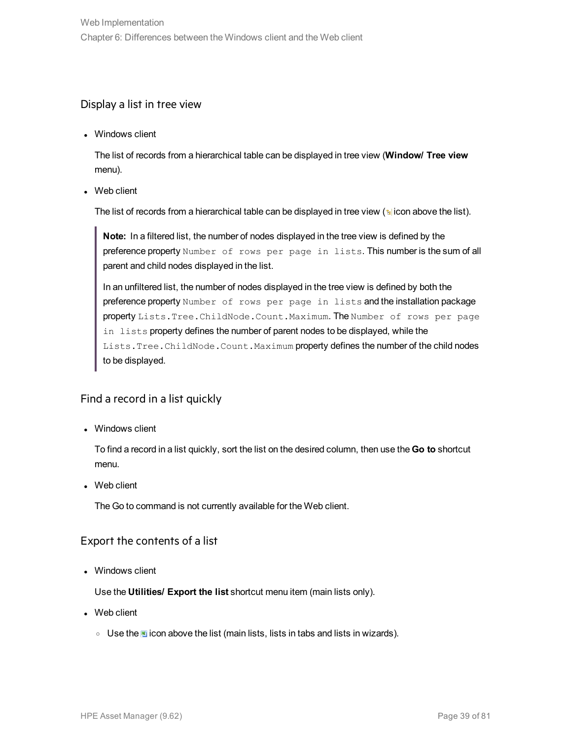### Display a list in tree view

• Windows client

The list of records from a hierarchical table can be displayed in tree view (**Window/ Tree view** menu).

• Web client

The list of records from a hierarchical table can be displayed in tree view  $($  $\cdot$  $\cdot$  $\cdot$  $\cdot$  icon above the list).

**Note:** In a filtered list, the number of nodes displayed in the tree view is defined by the preference property Number of rows per page in lists. This number is the sum of all parent and child nodes displayed in the list.

In an unfiltered list, the number of nodes displayed in the tree view is defined by both the preference property Number of rows per page in lists and the installation package property Lists.Tree.ChildNode.Count.Maximum. The Number of rows per page in lists property defines the number of parent nodes to be displayed, while the Lists.Tree.ChildNode.Count.Maximum property defines the number of the child nodes to be displayed.

### Find a record in a list quickly

• Windows client

To find a record in a list quickly, sort the list on the desired column, then use the **Go to** shortcut menu.

• Web client

The Go to command is not currently available for the Web client.

### Export the contents of a list

• Windows client

Use the **Utilities/ Export the list** shortcut menu item (main lists only).

- Web client
	- $\circ$  Use the **i** icon above the list (main lists, lists in tabs and lists in wizards).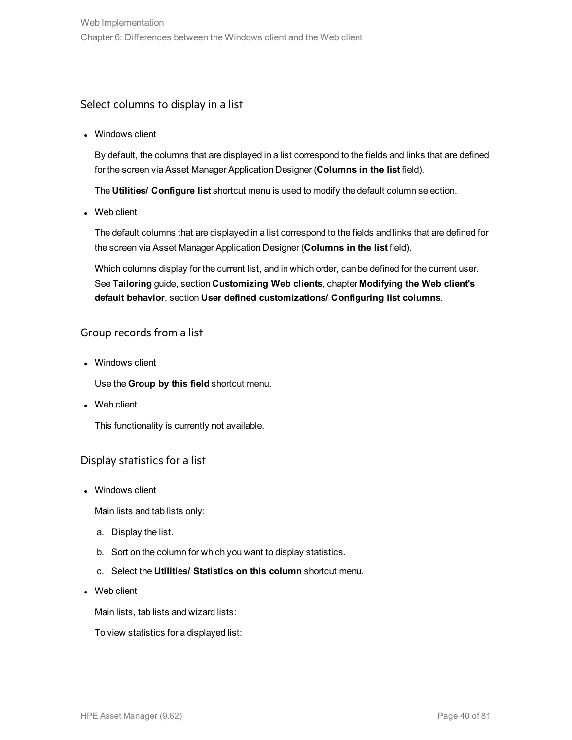#### Select columns to display in a list

• Windows client

By default, the columns that are displayed in a list correspond to the fields and links that are defined for the screen via Asset Manager Application Designer (**Columns in the list** field).

The **Utilities/ Configure list** shortcut menu is used to modify the default column selection.

• Web client

The default columns that are displayed in a list correspond to the fields and links that are defined for the screen via Asset Manager Application Designer (**Columns in the list** field).

Which columns display for the current list, and in which order, can be defined for the current user. See **Tailoring** guide, section **Customizing Web clients**, chapter **Modifying the Web client's default behavior**, section **User defined customizations/ Configuring list columns**.

#### Group records from a list

• Windows client

Use the **Group by this field** shortcut menu.

• Web client

This functionality is currently not available.

#### Display statistics for a list

• Windows client

Main lists and tab lists only:

- a. Display the list.
- b. Sort on the column for which you want to display statistics.
- c. Select the **Utilities/ Statistics on this column** shortcut menu.
- Web client

Main lists, tab lists and wizard lists:

To view statistics for a displayed list: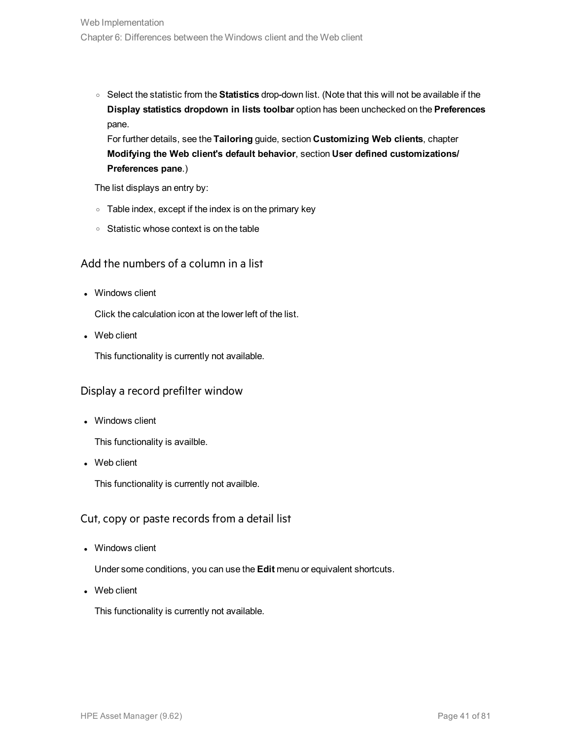<sup>o</sup> Select the statistic from the **Statistics** drop-down list. (Note that this will not be available if the **Display statistics dropdown in lists toolbar** option has been unchecked on the **Preferences** pane.

For further details, see the **Tailoring** guide, section **Customizing Web clients**, chapter **Modifying the Web client's default behavior**, section **User defined customizations/ Preferences pane**.)

The list displays an entry by:

- $\circ$  Table index, except if the index is on the primary key
- <sup>o</sup> Statistic whose context is on the table

#### Add the numbers of a column in a list

• Windows client

Click the calculation icon at the lower left of the list.

• Web client

This functionality is currently not available.

#### Display a record prefilter window

• Windows client

This functionality is availble.

• Web client

This functionality is currently not availble.

#### Cut, copy or paste records from a detail list

• Windows client

Under some conditions, you can use the **Edit** menu or equivalent shortcuts.

• Web client

This functionality is currently not available.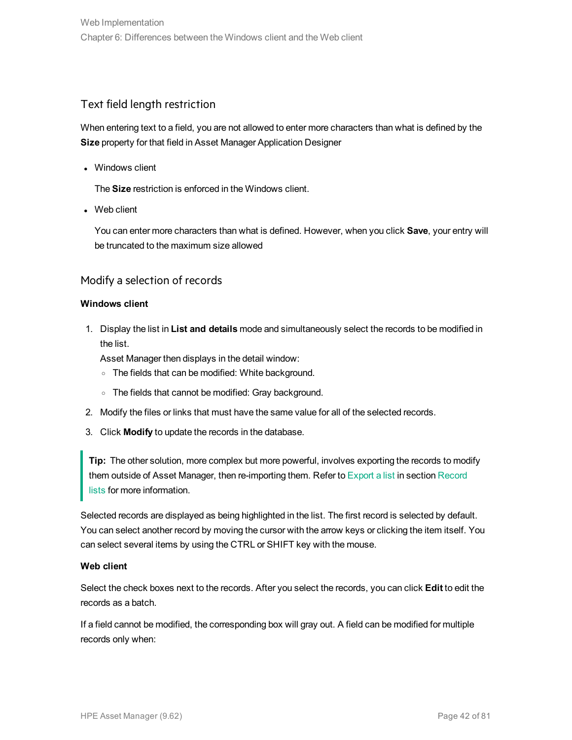### Text field length restriction

When entering text to a field, you are not allowed to enter more characters than what is defined by the **Size** property for that field in Asset Manager Application Designer

• Windows client

The **Size** restriction is enforced in the Windows client.

• Web client

You can enter more characters than what is defined. However, when you click **Save**, your entry will be truncated to the maximum size allowed

#### Modify a selection of records

#### **Windows client**

1. Display the list in **List and details** mode and simultaneously select the records to be modified in the list.

Asset Manager then displays in the detail window:

- The fields that can be modified: White background.
- <sup>o</sup> The fields that cannot be modified: Gray background.
- 2. Modify the files or links that must have the same value for all of the selected records.
- 3. Click **Modify** to update the records in the database.

**Tip:** The other solution, more complex but more powerful, involves exporting the records to modify them outside of Asset Manager, then re-importing them. Refer to Export a list in section Record lists for more information.

Selected records are displayed as being highlighted in the list. The first record is selected by default. You can select another record by moving the cursor with the arrow keys or clicking the item itself. You can select several items by using the CTRL or SHIFT key with the mouse.

#### **Web client**

Select the check boxes next to the records. After you select the records, you can click **Edit** to edit the records as a batch.

If a field cannot be modified, the corresponding box will gray out. A field can be modified for multiple records only when: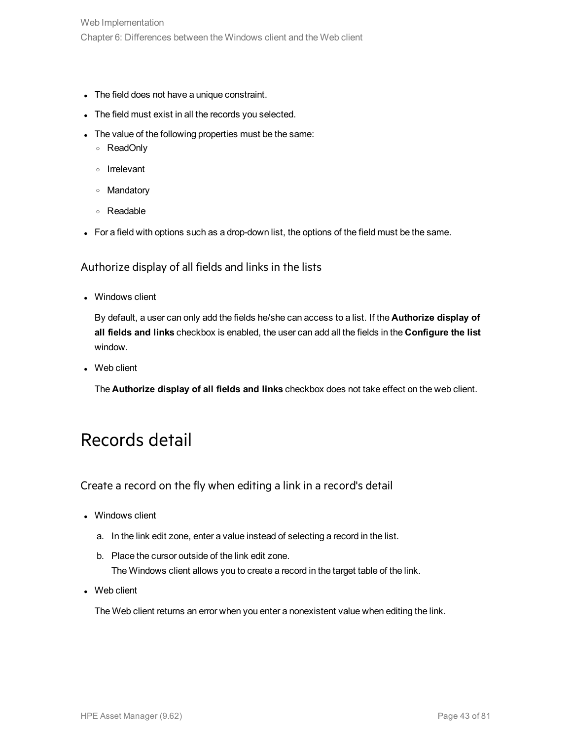- The field does not have a unique constraint.
- The field must exist in all the records you selected.
- The value of the following properties must be the same:
	- <sup>o</sup> ReadOnly
	- <sup>o</sup> Irrelevant
	- <sup>o</sup> Mandatory
	- <sup>o</sup> Readable
- For a field with options such as a drop-down list, the options of the field must be the same.

#### Authorize display of all fields and links in the lists

• Windows client

By default, a user can only add the fields he/she can access to a list. If the **Authorize display of all fields and links** checkbox is enabled, the user can add all the fields in the **Configure the list** window.

• Web client

The **Authorize display of all fields and links** checkbox does not take effect on the web client.

## Records detail

Create a record on the fly when editing a link in a record's detail

- Windows client
	- a. In the link edit zone, enter a value instead of selecting a record in the list.
	- b. Place the cursor outside of the link edit zone. The Windows client allows you to create a record in the target table of the link.
- Web client

The Web client returns an error when you enter a nonexistent value when editing the link.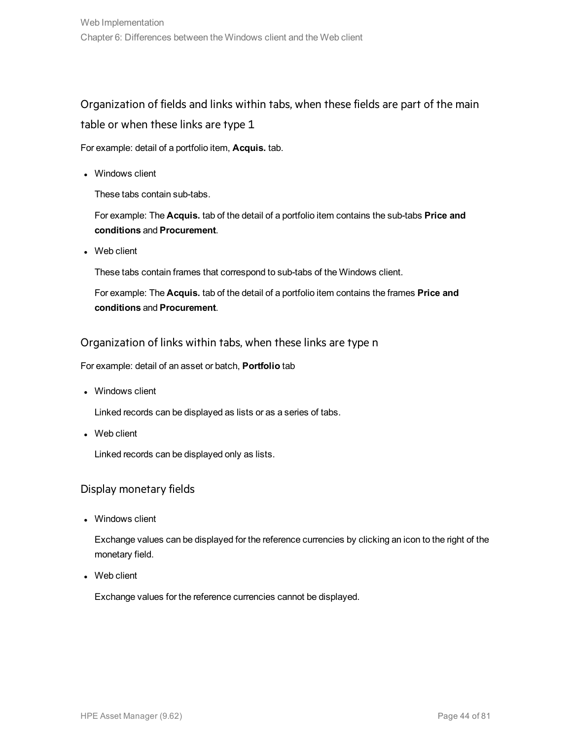Organization of fields and links within tabs, when these fields are part of the main table or when these links are type 1

For example: detail of a portfolio item, **Acquis.** tab.

• Windows client

These tabs contain sub-tabs.

For example: The **Acquis.** tab of the detail of a portfolio item contains the sub-tabs **Price and conditions** and **Procurement**.

• Web client

These tabs contain frames that correspond to sub-tabs of the Windows client.

For example: The **Acquis.** tab of the detail of a portfolio item contains the frames **Price and conditions** and **Procurement**.

#### Organization of links within tabs, when these links are type n

For example: detail of an asset or batch, **Portfolio** tab

• Windows client

Linked records can be displayed as lists or as a series of tabs.

 $\bullet$  Web client

Linked records can be displayed only as lists.

#### Display monetary fields

• Windows client

Exchange values can be displayed for the reference currencies by clicking an icon to the right of the monetary field.

• Web client

Exchange values for the reference currencies cannot be displayed.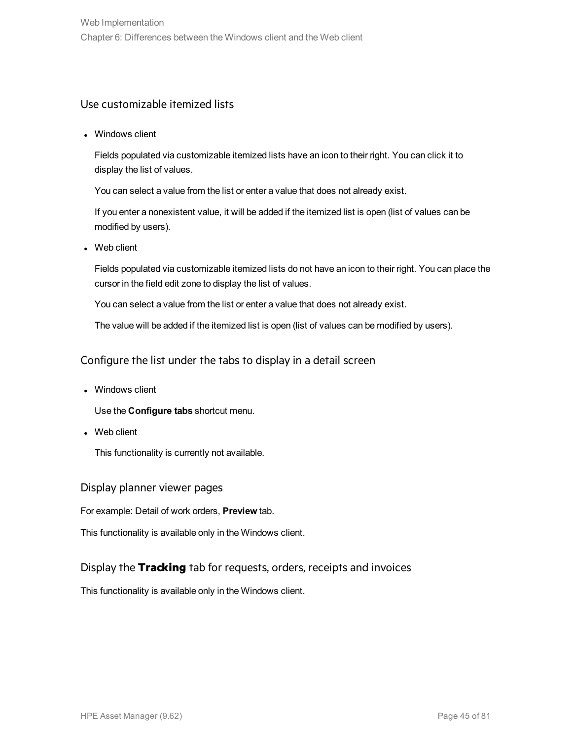### Use customizable itemized lists

• Windows client

Fields populated via customizable itemized lists have an icon to their right. You can click it to display the list of values.

You can select a value from the list or enter a value that does not already exist.

If you enter a nonexistent value, it will be added if the itemized list is open (list of values can be modified by users).

• Web client

Fields populated via customizable itemized lists do not have an icon to their right. You can place the cursor in the field edit zone to display the list of values.

You can select a value from the list or enter a value that does not already exist.

The value will be added if the itemized list is open (list of values can be modified by users).

#### Configure the list under the tabs to display in a detail screen

• Windows client

Use the **Configure tabs** shortcut menu.

 $\bullet$  Web client

This functionality is currently not available.

#### Display planner viewer pages

For example: Detail of work orders, **Preview** tab.

This functionality is available only in the Windows client.

### Display the **Tracking** tab for requests, orders, receipts and invoices

This functionality is available only in the Windows client.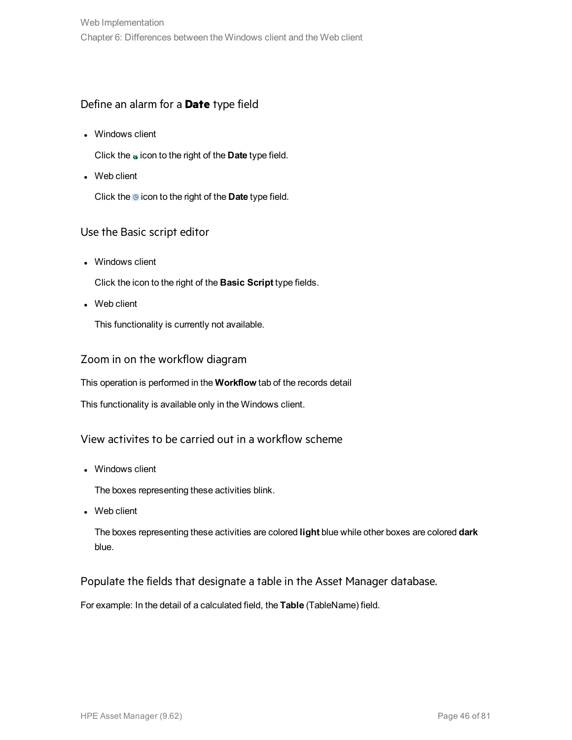#### Define an alarm for a **Date** type field

• Windows client

Click the icon to the right of the **Date** type field.

 $\bullet$  Web client

Click the **c** icon to the right of the **Date** type field.

#### Use the Basic script editor

• Windows client

Click the icon to the right of the **Basic Script** type fields.

• Web client

This functionality is currently not available.

#### Zoom in on the workflow diagram

This operation is performed in the **Workflow** tab of the records detail

This functionality is available only in the Windows client.

#### View activites to be carried out in a workflow scheme

• Windows client

The boxes representing these activities blink.

 $\bullet$  Web client

The boxes representing these activities are colored **light** blue while other boxes are colored **dark** blue.

#### Populate the fields that designate a table in the Asset Manager database.

For example: In the detail of a calculated field, the **Table** (TableName) field.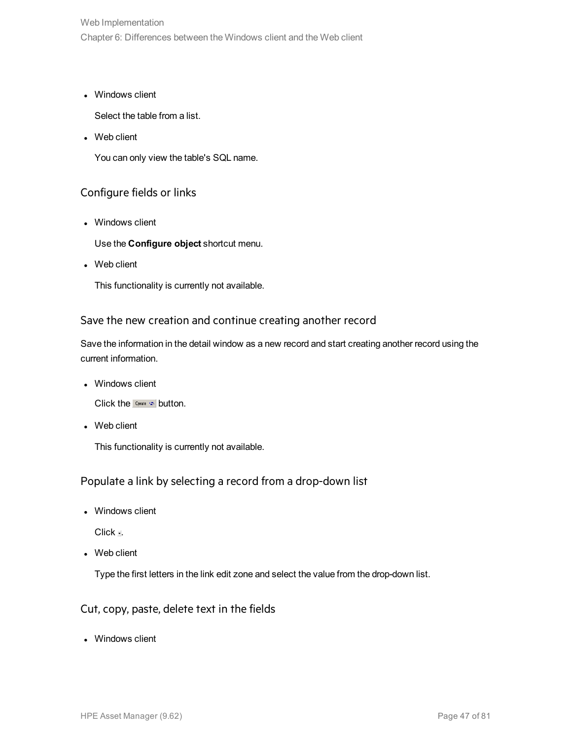Web Implementation

Chapter 6: Differences between the Windows client and the Web client

• Windows client

Select the table from a list.

• Web client

You can only view the table's SQL name.

#### Configure fields or links

• Windows client

Use the **Configure object** shortcut menu.

 $\bullet$  Web client

This functionality is currently not available.

#### Save the new creation and continue creating another record

Save the information in the detail window as a new record and start creating another record using the current information.

• Windows client

Click the  $C_1$ <sub>Create</sub>  $\infty$  button.

• Web client

This functionality is currently not available.

### Populate a link by selecting a record from a drop-down list

. Windows client

Click ...

• Web client

Type the first letters in the link edit zone and select the value from the drop-down list.

#### Cut, copy, paste, delete text in the fields

• Windows client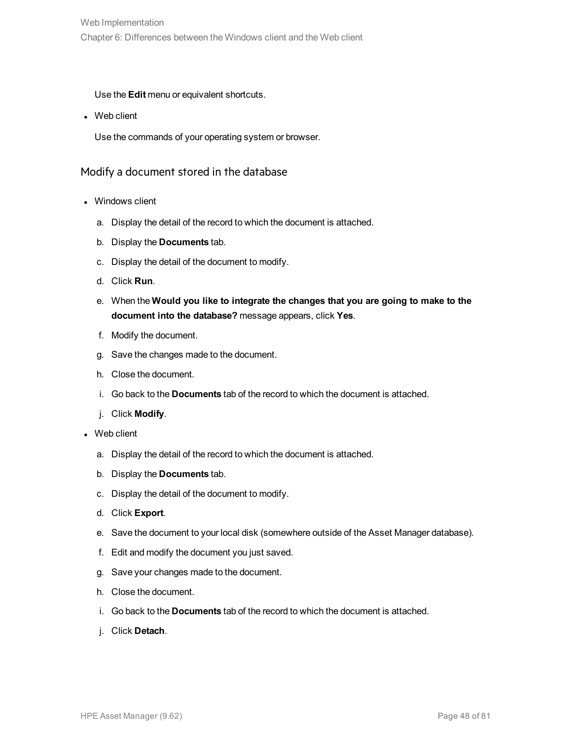Web Implementation

Chapter 6: Differences between the Windows client and the Web client

Use the **Edit** menu or equivalent shortcuts.

 $\bullet$  Web client

Use the commands of your operating system or browser.

#### Modify a document stored in the database

- Windows client
	- a. Display the detail of the record to which the document is attached.
	- b. Display the **Documents** tab.
	- c. Display the detail of the document to modify.
	- d. Click **Run**.
	- e. When the **Would you like to integrate the changes that you are going to make to the document into the database?** message appears, click **Yes**.
	- f. Modify the document.
	- g. Save the changes made to the document.
	- h. Close the document.
	- i. Go back to the **Documents** tab of the record to which the document is attached.
	- j. Click **Modify**.
- Web client
	- a. Display the detail of the record to which the document is attached.
	- b. Display the **Documents** tab.
	- c. Display the detail of the document to modify.
	- d. Click **Export**.
	- e. Save the document to your local disk (somewhere outside of the Asset Manager database).
	- f. Edit and modify the document you just saved.
	- g. Save your changes made to the document.
	- h. Close the document.
	- i. Go back to the **Documents** tab of the record to which the document is attached.
	- j. Click **Detach**.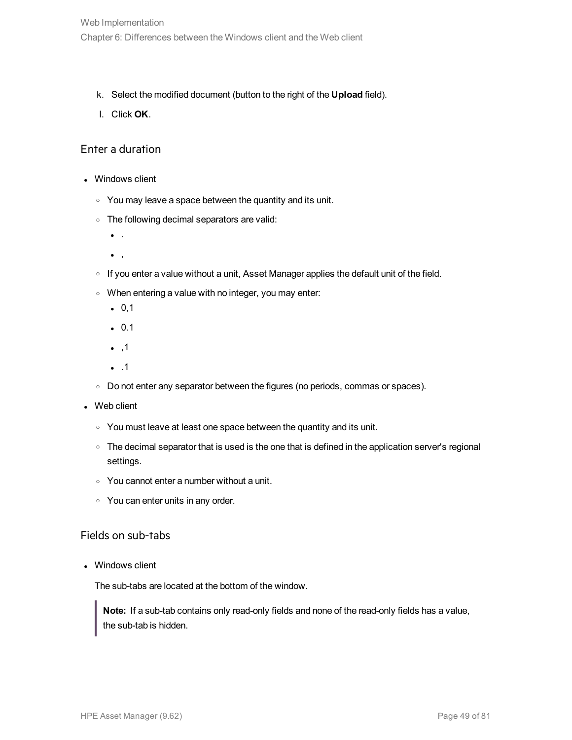- k. Select the modified document (button to the right of the **Upload** field).
- l. Click **OK**.

#### Enter a duration

- Windows client
	- $\circ$  You may leave a space between the quantity and its unit.
	- The following decimal separators are valid:
		- $\bullet$  .
		- $\bullet$
	- o If you enter a value without a unit, Asset Manager applies the default unit of the field.
	- <sup>o</sup> When entering a value with no integer, you may enter:
		- $.0,1$
		- $.0.1$
		- $\bullet$  ,1
		- $\cdot$  .1
	- o Do not enter any separator between the figures (no periods, commas or spaces).
- Web client
	- $\circ$  You must leave at least one space between the quantity and its unit.
	- o The decimal separator that is used is the one that is defined in the application server's regional settings.
	- <sup>o</sup> You cannot enter a number without a unit.
	- You can enter units in any order.

#### Fields on sub-tabs

• Windows client

The sub-tabs are located at the bottom of the window.

**Note:** If a sub-tab contains only read-only fields and none of the read-only fields has a value, the sub-tab is hidden.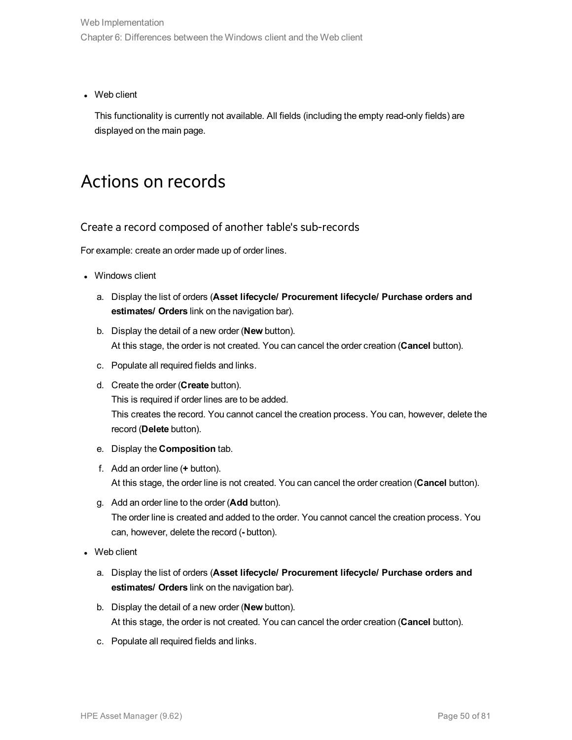. Web client

This functionality is currently not available. All fields (including the empty read-only fields) are displayed on the main page.

## Actions on records

Create a record composed of another table's sub-records

For example: create an order made up of order lines.

- Windows client
	- a. Display the list of orders (**Asset lifecycle/ Procurement lifecycle/ Purchase orders and estimates/ Orders** link on the navigation bar).
	- b. Display the detail of a new order (**New** button). At this stage, the order is not created. You can cancel the order creation (**Cancel** button).
	- c. Populate all required fields and links.
	- d. Create the order (**Create** button). This is required if order lines are to be added. This creates the record. You cannot cancel the creation process. You can, however, delete the record (**Delete** button).
	- e. Display the **Composition** tab.
	- f. Add an order line (**+** button). At this stage, the order line is not created. You can cancel the order creation (**Cancel** button).
	- g. Add an order line to the order (**Add** button). The order line is created and added to the order. You cannot cancel the creation process. You can, however, delete the record (**-** button).
- Web client
	- a. Display the list of orders (**Asset lifecycle/ Procurement lifecycle/ Purchase orders and estimates/ Orders** link on the navigation bar).
	- b. Display the detail of a new order (**New** button). At this stage, the order is not created. You can cancel the order creation (**Cancel** button).
	- c. Populate all required fields and links.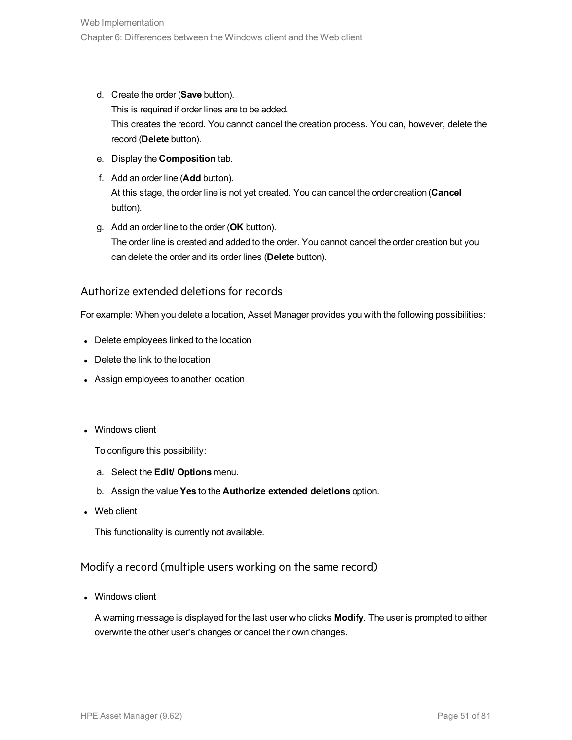d. Create the order (**Save** button).

This is required if order lines are to be added.

This creates the record. You cannot cancel the creation process. You can, however, delete the record (**Delete** button).

- e. Display the **Composition** tab.
- f. Add an order line (**Add** button). At this stage, the order line is not yet created. You can cancel the order creation (**Cancel** button).
- g. Add an order line to the order (**OK** button). The order line is created and added to the order. You cannot cancel the order creation but you can delete the order and its order lines (**Delete** button).

### Authorize extended deletions for records

For example: When you delete a location, Asset Manager provides you with the following possibilities:

- Delete employees linked to the location
- Delete the link to the location
- Assign employees to another location
- Windows client

To configure this possibility:

- a. Select the **Edit/ Options** menu.
- b. Assign the value **Yes** to the **Authorize extended deletions** option.
- . Web client

This functionality is currently not available.

### Modify a record (multiple users working on the same record)

• Windows client

A warning message is displayed for the last user who clicks **Modify**. The user is prompted to either overwrite the other user's changes or cancel their own changes.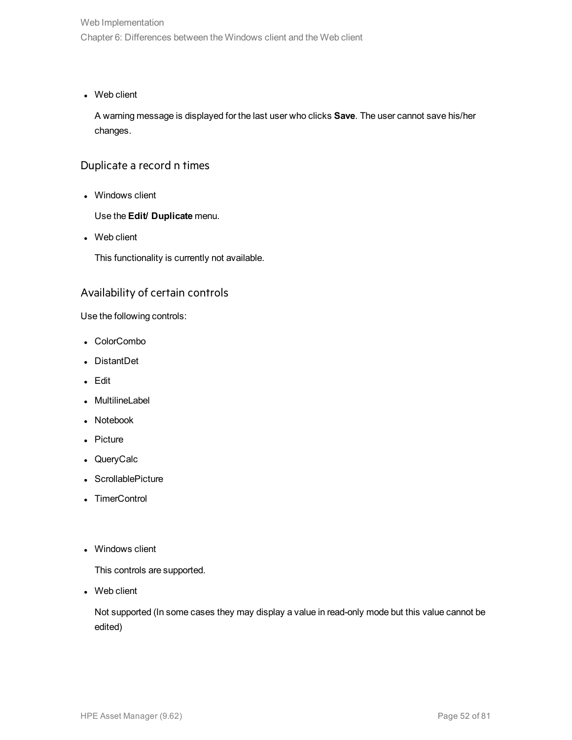Web Implementation Chapter 6: Differences between the Windows client and the Web client

• Web client

A warning message is displayed for the last user who clicks **Save**. The user cannot save his/her changes.

#### Duplicate a record n times

• Windows client

Use the **Edit/ Duplicate** menu.

• Web client

This functionality is currently not available.

#### Availability of certain controls

Use the following controls:

- ColorCombo
- DistantDet
- Edit
- MultilineLabel
- Notebook
- Picture
- QueryCalc
- ScrollablePicture
- TimerControl
- Windows client

This controls are supported.

• Web client

Not supported (In some cases they may display a value in read-only mode but this value cannot be edited)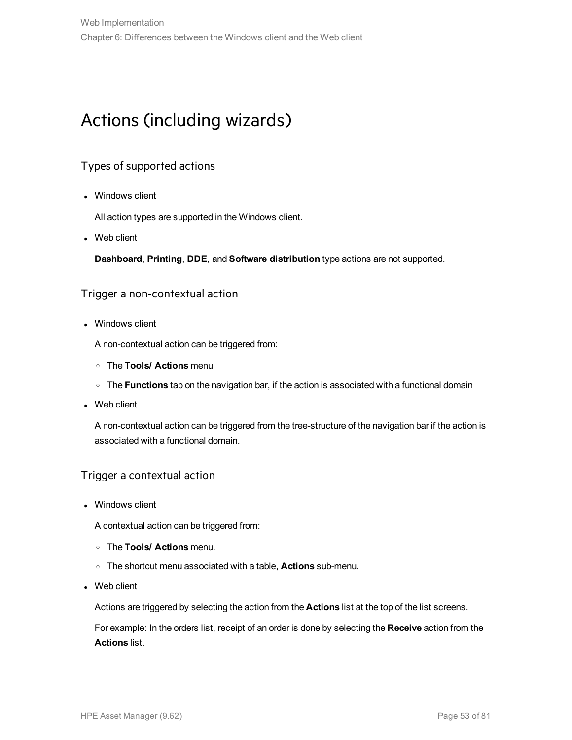# Actions (including wizards)

### Types of supported actions

• Windows client

All action types are supported in the Windows client.

 $\bullet$  Web client

**Dashboard**, **Printing**, **DDE**, and **Software distribution** type actions are not supported.

### Trigger a non-contextual action

• Windows client

A non-contextual action can be triggered from:

- <sup>o</sup> The **Tools/ Actions** menu
- <sup>o</sup> The **Functions** tab on the navigation bar, if the action is associated with a functional domain
- Web client

A non-contextual action can be triggered from the tree-structure of the navigation bar if the action is associated with a functional domain.

#### Trigger a contextual action

• Windows client

A contextual action can be triggered from:

- <sup>o</sup> The **Tools/ Actions** menu.
- <sup>o</sup> The shortcut menu associated with a table, **Actions** sub-menu.
- Web client

Actions are triggered by selecting the action from the **Actions** list at the top of the list screens.

For example: In the orders list, receipt of an order is done by selecting the **Receive** action from the **Actions** list.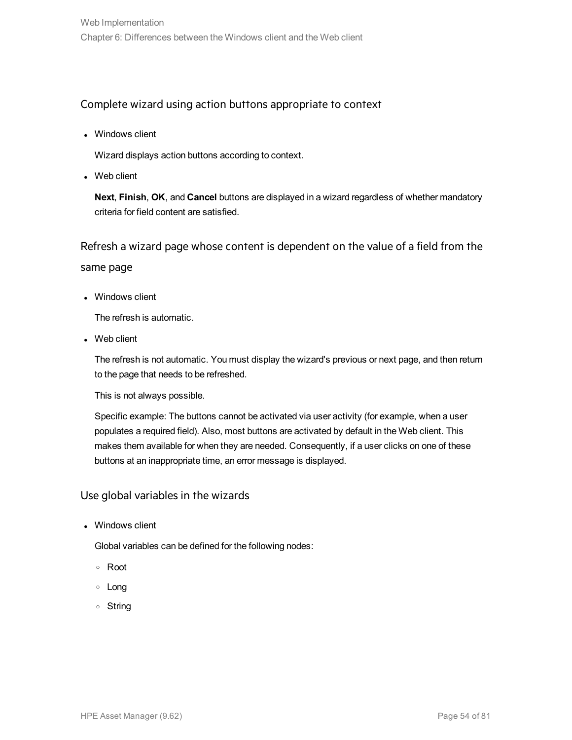### Complete wizard using action buttons appropriate to context

• Windows client

Wizard displays action buttons according to context.

 $\bullet$  Web client

**Next**, **Finish**, **OK**, and **Cancel** buttons are displayed in a wizard regardless of whether mandatory criteria for field content are satisfied.

Refresh a wizard page whose content is dependent on the value of a field from the same page

• Windows client

The refresh is automatic.

• Web client

The refresh is not automatic. You must display the wizard's previous or next page, and then return to the page that needs to be refreshed.

This is not always possible.

Specific example: The buttons cannot be activated via user activity (for example, when a user populates a required field). Also, most buttons are activated by default in the Web client. This makes them available for when they are needed. Consequently, if a user clicks on one of these buttons at an inappropriate time, an error message is displayed.

### Use global variables in the wizards

• Windows client

Global variables can be defined for the following nodes:

- <sup>o</sup> Root
- <sup>o</sup> Long
- <sup>o</sup> String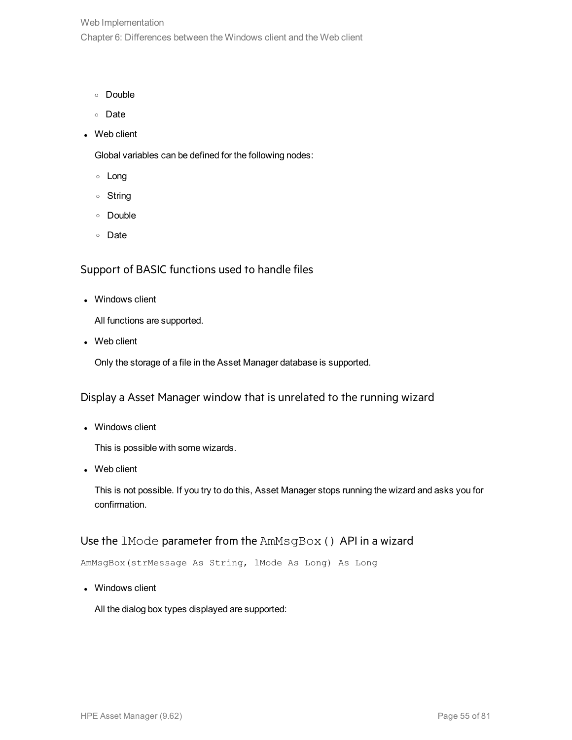Web Implementation

Chapter 6: Differences between the Windows client and the Web client

- <sup>o</sup> Double
- <sup>o</sup> Date
- Web client

Global variables can be defined for the following nodes:

- <sup>o</sup> Long
- <sup>o</sup> String
- <sup>o</sup> Double
- <sup>o</sup> Date

#### Support of BASIC functions used to handle files

• Windows client

All functions are supported.

. Web client

Only the storage of a file in the Asset Manager database is supported.

#### Display a Asset Manager window that is unrelated to the running wizard

• Windows client

This is possible with some wizards.

• Web client

This is not possible. If you try to do this, Asset Manager stops running the wizard and asks you for confirmation.

#### Use the lMode parameter from the AmMsgBox () API in a wizard

AmMsgBox(strMessage As String, lMode As Long) As Long

• Windows client

All the dialog box types displayed are supported: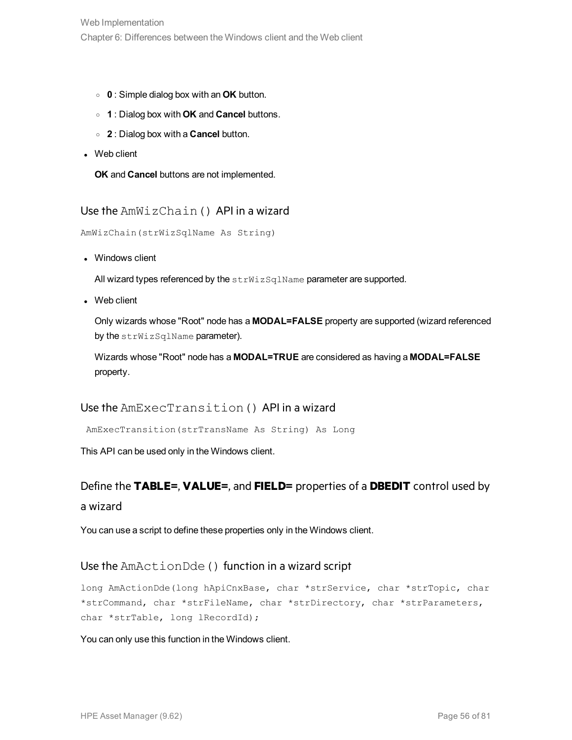Web Implementation Chapter 6: Differences between the Windows client and the Web client

- <sup>o</sup> **0** : Simple dialog box with an **OK** button.
- <sup>o</sup> **1** : Dialog box with **OK** and **Cancel** buttons.
- <sup>o</sup> **2** : Dialog box with a **Cancel** button.
- Web client

**OK** and **Cancel** buttons are not implemented.

Use the AmWizChain () API in a wizard

AmWizChain(strWizSqlName As String)

• Windows client

All wizard types referenced by the strWizSqlName parameter are supported.

• Web client

Only wizards whose "Root" node has a **MODAL=FALSE** property are supported (wizard referenced by the strWizSqlName parameter).

Wizards whose "Root" node has a **MODAL=TRUE** are considered as having a **MODAL=FALSE** property.

Use the AmExecTransition() API in a wizard

AmExecTransition(strTransName As String) As Long

This API can be used only in the Windows client.

## Define the **TABLE=**, **VALUE=**, and **FIELD=** properties of a **DBEDIT** control used by

#### a wizard

You can use a script to define these properties only in the Windows client.

#### Use the AmActionDde() function in a wizard script

long AmActionDde(long hApiCnxBase, char \*strService, char \*strTopic, char \*strCommand, char \*strFileName, char \*strDirectory, char \*strParameters, char \*strTable, long lRecordId);

#### You can only use this function in the Windows client.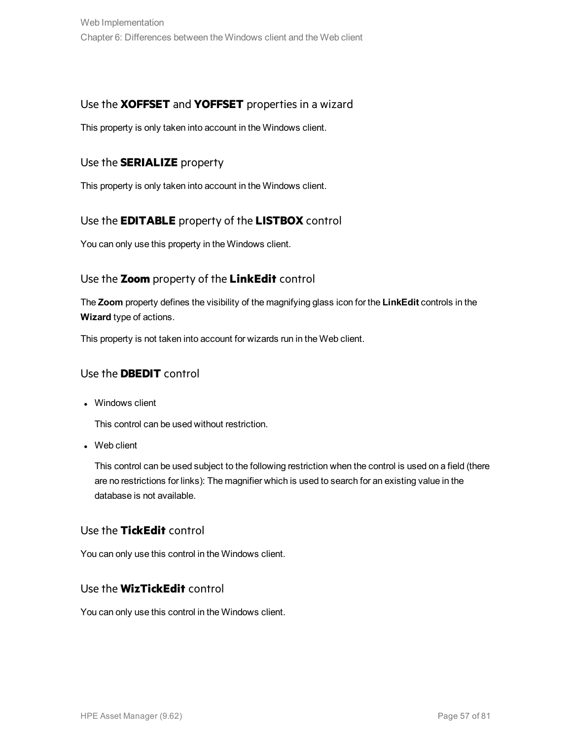### Use the **XOFFSET** and **YOFFSET** propertiesin a wizard

This property is only taken into account in the Windows client.

#### Use the **SERIALIZE** property

This property is only taken into account in the Windows client.

### Use the **EDITABLE** property of the **LISTBOX** control

You can only use this property in the Windows client.

### Use the **Zoom** property of the **LinkEdit** control

The **Zoom** property defines the visibility of the magnifying glass icon for the **LinkEdit** controls in the **Wizard** type of actions.

This property is not taken into account for wizards run in the Web client.

#### Use the **DBEDIT** control

. Windows client

This control can be used without restriction.

• Web client

This control can be used subject to the following restriction when the control is used on a field (there are no restrictions for links): The magnifier which is used to search for an existing value in the database is not available.

#### Use the **TickEdit** control

You can only use this control in the Windows client.

#### Use the **WizTickEdit** control

You can only use this control in the Windows client.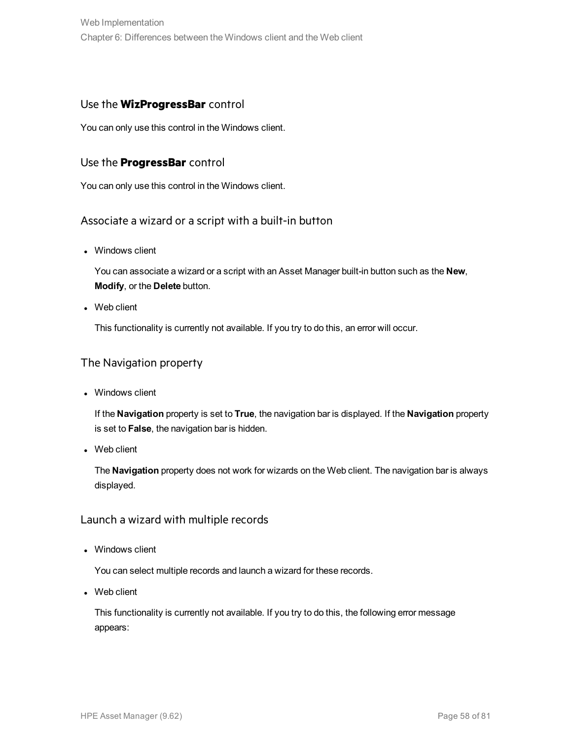#### Use the **WizProgressBar** control

You can only use this control in the Windows client.

#### Use the **ProgressBar** control

You can only use this control in the Windows client.

#### Associate a wizard or a script with a built-in button

• Windows client

You can associate a wizard or a script with an Asset Manager built-in button such as the **New**, **Modify**, or the **Delete** button.

• Web client

This functionality is currently not available. If you try to do this, an error will occur.

#### The Navigation property

. Windows client

If the **Navigation** property is set to **True**, the navigation bar is displayed. If the **Navigation** property is set to **False**, the navigation bar is hidden.

 $\bullet$  Web client

The **Navigation** property does not work for wizards on the Web client. The navigation bar is always displayed.

#### Launch a wizard with multiple records

• Windows client

You can select multiple records and launch a wizard for these records.

• Web client

This functionality is currently not available. If you try to do this, the following error message appears: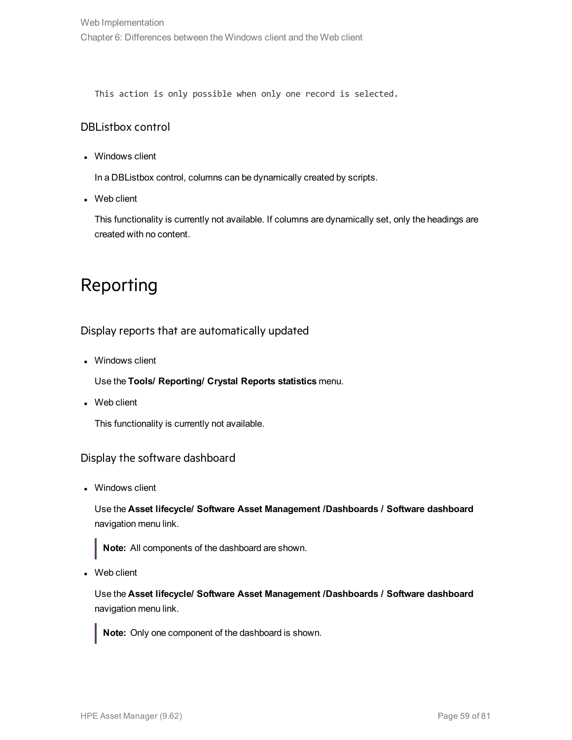This action is only possible when only one record is selected.

#### DBListbox control

• Windows client

In a DBListbox control, columns can be dynamically created by scripts.

• Web client

This functionality is currently not available. If columns are dynamically set, only the headings are created with no content.

# Reporting

#### Display reports that are automatically updated

• Windows client

Use the **Tools/ Reporting/ Crystal Reports statistics** menu.

• Web client

This functionality is currently not available.

### Display the software dashboard

• Windows client

Use the **Asset lifecycle/ Software Asset Management /Dashboards / Software dashboard** navigation menu link.

**Note:** All components of the dashboard are shown.

• Web client

Use the **Asset lifecycle/ Software Asset Management /Dashboards / Software dashboard** navigation menu link.

**Note:** Only one component of the dashboard is shown.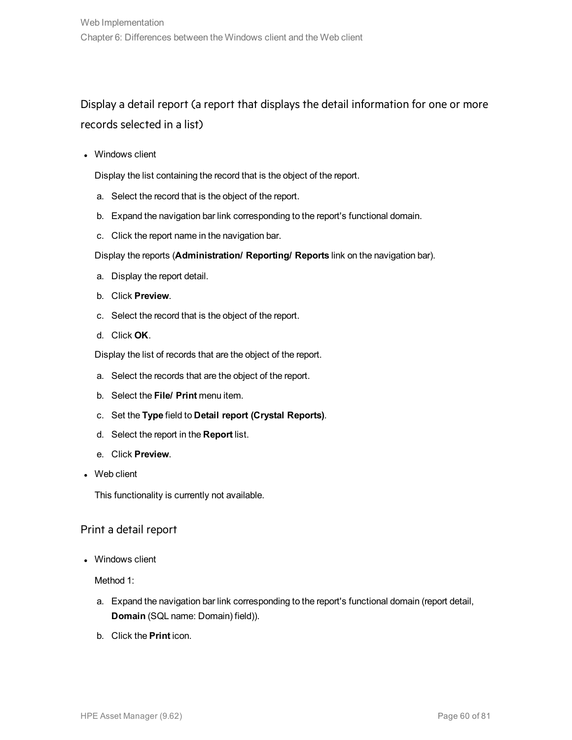## Display a detail report (a report that displays the detail information for one or more records selected in a list)

• Windows client

Display the list containing the record that is the object of the report.

- a. Select the record that is the object of the report.
- b. Expand the navigation bar link corresponding to the report's functional domain.
- c. Click the report name in the navigation bar.

#### Display the reports (**Administration/ Reporting/ Reports** link on the navigation bar).

- a. Display the report detail.
- b. Click **Preview**.
- c. Select the record that is the object of the report.
- d. Click **OK**.

Display the list of records that are the object of the report.

- a. Select the records that are the object of the report.
- b. Select the **File/ Print** menu item.
- c. Set the **Type** field to **Detail report (Crystal Reports)**.
- d. Select the report in the **Report** list.
- e. Click **Preview**.
- Web client

This functionality is currently not available.

#### Print a detail report

• Windows client

Method 1:

- a. Expand the navigation bar link corresponding to the report's functional domain (report detail, **Domain** (SQL name: Domain) field)).
- b. Click the **Print** icon.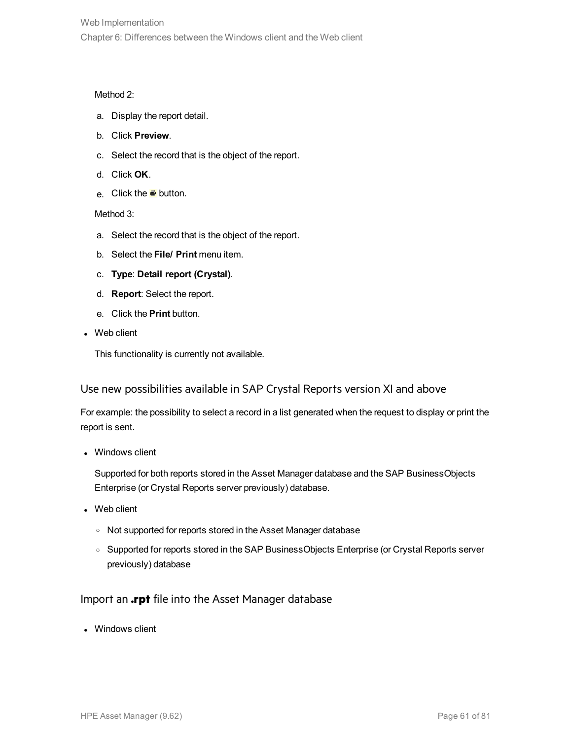#### Method 2:

- a. Display the report detail.
- b. Click **Preview**.
- c. Select the record that is the object of the report.
- d. Click **OK**.
- e. Click the  $\triangleq$  button.

#### Method 3:

- a. Select the record that is the object of the report.
- b. Select the **File/ Print** menu item.
- c. **Type**: **Detail report (Crystal)**.
- d. **Report**: Select the report.
- e. Click the **Print** button.
- Web client

This functionality is currently not available.

#### Use new possibilities available in SAP Crystal Reports version XI and above

For example: the possibility to select a record in a list generated when the request to display or print the report is sent.

• Windows client

Supported for both reports stored in the Asset Manager database and the SAP BusinessObjects Enterprise (or Crystal Reports server previously) database.

- Web client
	- o Not supported for reports stored in the Asset Manager database
	- Supported for reports stored in the SAP BusinessObjects Enterprise (or Crystal Reports server previously) database

#### Import an **.rpt** file into the Asset Manager database

• Windows client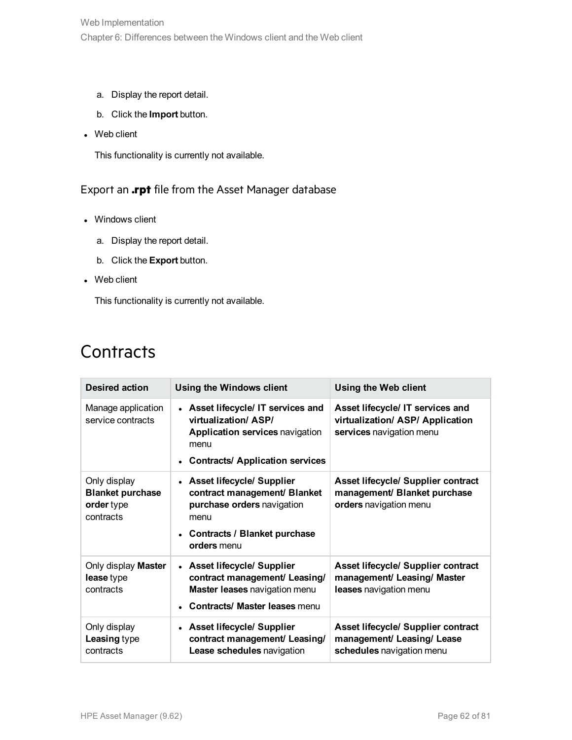- a. Display the report detail.
- b. Click the **Import** button.
- Web client

This functionality is currently not available.

### Export an **.rpt** file from the Asset Manager database

- Windows client
	- a. Display the report detail.
	- b. Click the **Export** button.
- Web client

This functionality is currently not available.

## **Contracts**

| <b>Desired action</b>                                              | <b>Using the Windows client</b>                                                                                                                              | <b>Using the Web client</b>                                                                      |
|--------------------------------------------------------------------|--------------------------------------------------------------------------------------------------------------------------------------------------------------|--------------------------------------------------------------------------------------------------|
| Manage application<br>service contracts                            | • Asset lifecycle/ IT services and<br>virtualization/ ASP/<br><b>Application services navigation</b><br>menu<br><b>Contracts/ Application services</b>       | Asset lifecycle/ IT services and<br>virtualization/ ASP/ Application<br>services navigation menu |
| Only display<br><b>Blanket purchase</b><br>order type<br>contracts | <b>Asset lifecycle/ Supplier</b><br>contract management/ Blanket<br>purchase orders navigation<br>menu<br><b>Contracts / Blanket purchase</b><br>orders menu | Asset lifecycle/ Supplier contract<br>management/ Blanket purchase<br>orders navigation menu     |
| Only display Master<br>lease type<br>contracts                     | • Asset lifecycle/ Supplier<br>contract management/ Leasing/<br>Master leases navigation menu<br><b>Contracts/ Master leases menully</b>                     | Asset lifecycle/ Supplier contract<br>management/ Leasing/ Master<br>leases navigation menu      |
| Only display<br><b>Leasing type</b><br>contracts                   | <b>Asset lifecycle/ Supplier</b><br>contract management/ Leasing/<br>Lease schedules navigation                                                              | Asset lifecycle/ Supplier contract<br>management/ Leasing/ Lease<br>schedules navigation menu    |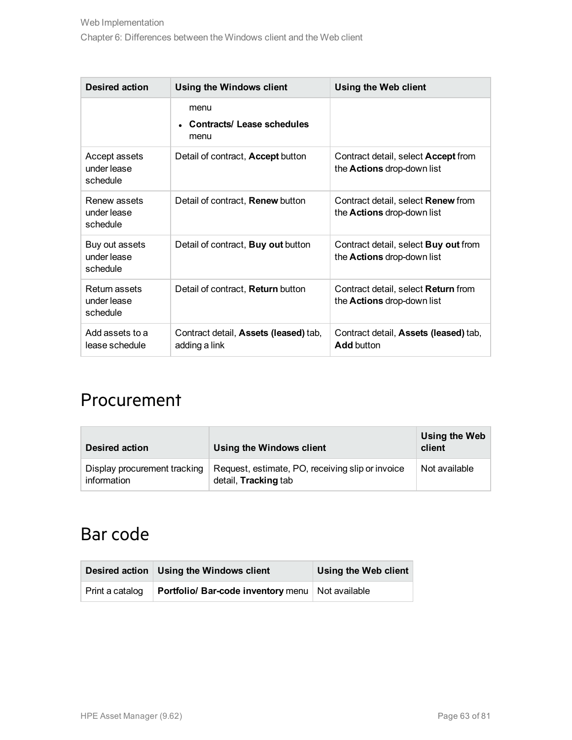| <b>Desired action</b>                     | <b>Using the Windows client</b>                        | <b>Using the Web client</b>                                                     |
|-------------------------------------------|--------------------------------------------------------|---------------------------------------------------------------------------------|
|                                           | menu<br>• Contracts/ Lease schedules<br>menu           |                                                                                 |
| Accept assets<br>under lease<br>schedule  | Detail of contract, <b>Accept</b> button               | Contract detail, select <b>Accept</b> from<br>the <b>Actions</b> drop-down list |
| Renew assets<br>under lease<br>schedule   | Detail of contract, <b>Renew</b> button                | Contract detail, select <b>Renew</b> from<br>the <b>Actions</b> drop-down list  |
| Buy out assets<br>under lease<br>schedule | Detail of contract, <b>Buy out</b> button              | Contract detail, select Buy out from<br>the <b>Actions</b> drop-down list       |
| Return assets<br>under lease<br>schedule  | Detail of contract, Return button                      | Contract detail, select Return from<br>the <b>Actions</b> drop-down list        |
| Add assets to a<br>lease schedule         | Contract detail, Assets (leased) tab,<br>adding a link | Contract detail, Assets (leased) tab,<br><b>Add button</b>                      |

# Procurement

| <b>Desired action</b>                       | Using the Windows client                                                        | Using the Web<br>client |
|---------------------------------------------|---------------------------------------------------------------------------------|-------------------------|
| Display procurement tracking<br>information | Request, estimate, PO, receiving slip or invoice<br>detail, <b>Tracking</b> tab | Not available           |

# Bar code

|                 | Desired action   Using the Windows client               | <b>Using the Web client</b> |
|-----------------|---------------------------------------------------------|-----------------------------|
| Print a catalog | <b>Portfolio/ Bar-code inventory menu</b> Not available |                             |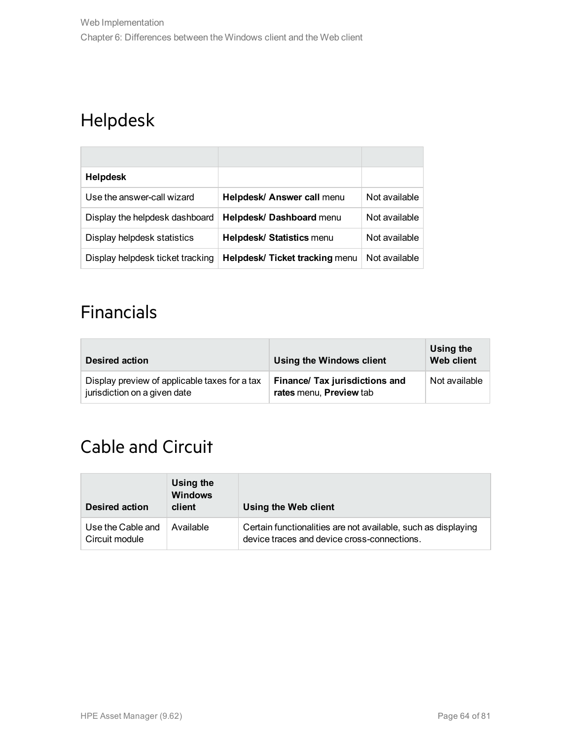# Helpdesk

| <b>Helpdesk</b>                  |                                |               |
|----------------------------------|--------------------------------|---------------|
| Use the answer-call wizard       | Helpdesk/ Answer call menu     | Not available |
| Display the helpdesk dashboard   | Helpdesk/ Dashboard menu       | Not available |
| Display helpdesk statistics      | Helpdesk/ Statistics menu      | Not available |
| Display helpdesk ticket tracking | Helpdesk/ Ticket tracking menu | Not available |

# Financials

| <b>Desired action</b>                                                         | <b>Using the Windows client</b>                           | Using the<br><b>Web client</b> |
|-------------------------------------------------------------------------------|-----------------------------------------------------------|--------------------------------|
| Display preview of applicable taxes for a tax<br>jurisdiction on a given date | Finance/ Tax jurisdictions and<br>rates menu, Preview tab | Not available                  |

# Cable and Circuit

| <b>Desired action</b>               | Using the<br><b>Windows</b><br>client | Using the Web client                                                                                         |
|-------------------------------------|---------------------------------------|--------------------------------------------------------------------------------------------------------------|
| Use the Cable and<br>Circuit module | Available                             | Certain functionalities are not available, such as displaying<br>device traces and device cross-connections. |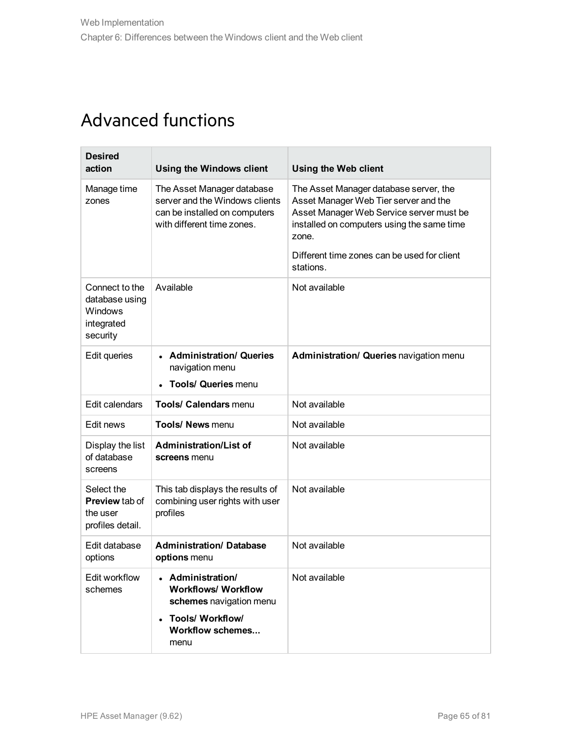# Advanced functions

| <b>Desired</b><br>action                                              | <b>Using the Windows client</b>                                                                                                               | <b>Using the Web client</b>                                                                                                                                                                                                                    |
|-----------------------------------------------------------------------|-----------------------------------------------------------------------------------------------------------------------------------------------|------------------------------------------------------------------------------------------------------------------------------------------------------------------------------------------------------------------------------------------------|
| Manage time<br>zones                                                  | The Asset Manager database<br>server and the Windows clients<br>can be installed on computers<br>with different time zones.                   | The Asset Manager database server, the<br>Asset Manager Web Tier server and the<br>Asset Manager Web Service server must be<br>installed on computers using the same time<br>zone.<br>Different time zones can be used for client<br>stations. |
| Connect to the<br>database using<br>Windows<br>integrated<br>security | Available                                                                                                                                     | Not available                                                                                                                                                                                                                                  |
| Edit queries                                                          | <b>Administration/ Queries</b><br>navigation menu<br><b>Tools/ Queries menu</b>                                                               | Administration/ Queries navigation menu                                                                                                                                                                                                        |
| Edit calendars                                                        | <b>Tools/ Calendars menu</b>                                                                                                                  | Not available                                                                                                                                                                                                                                  |
| Edit news                                                             | <b>Tools/ News menu</b>                                                                                                                       | Not available                                                                                                                                                                                                                                  |
| Display the list<br>of database<br>screens                            | <b>Administration/List of</b><br>screens menu                                                                                                 | Not available                                                                                                                                                                                                                                  |
| Select the<br><b>Preview tab of</b><br>the user<br>profiles detail.   | This tab displays the results of<br>combining user rights with user<br>profiles                                                               | Not available                                                                                                                                                                                                                                  |
| Edit database<br>options                                              | <b>Administration/ Database</b><br>options menu                                                                                               | Not available                                                                                                                                                                                                                                  |
| Edit workflow<br>schemes                                              | <b>Administration/</b><br><b>Workflows/ Workflow</b><br>schemes navigation menu<br><b>Tools/ Workflow/</b><br><b>Workflow schemes</b><br>menu | Not available                                                                                                                                                                                                                                  |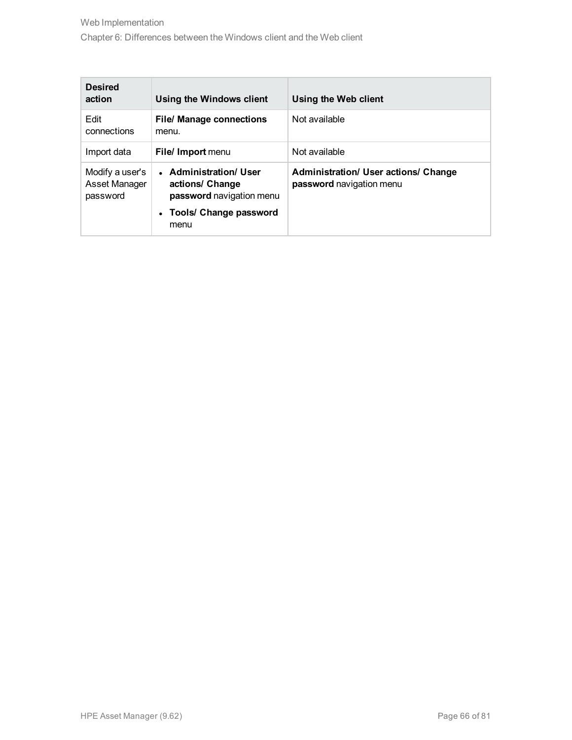Web Implementation Chapter 6: Differences between the Windows client and the Web client

| <b>Desired</b><br>action                     | Using the Windows client                                                                                                    | <b>Using the Web client</b>                                             |
|----------------------------------------------|-----------------------------------------------------------------------------------------------------------------------------|-------------------------------------------------------------------------|
| Edit<br>connections                          | File/ Manage connections<br>menu.                                                                                           | Not available                                                           |
| Import data                                  | File/ Import menu                                                                                                           | Not available                                                           |
| Modify a user's<br>Asset Manager<br>password | • Administration/ User<br>actions/ Change<br>password navigation menu<br><b>Tools/ Change password</b><br>$\bullet$<br>menu | <b>Administration/ User actions/ Change</b><br>password navigation menu |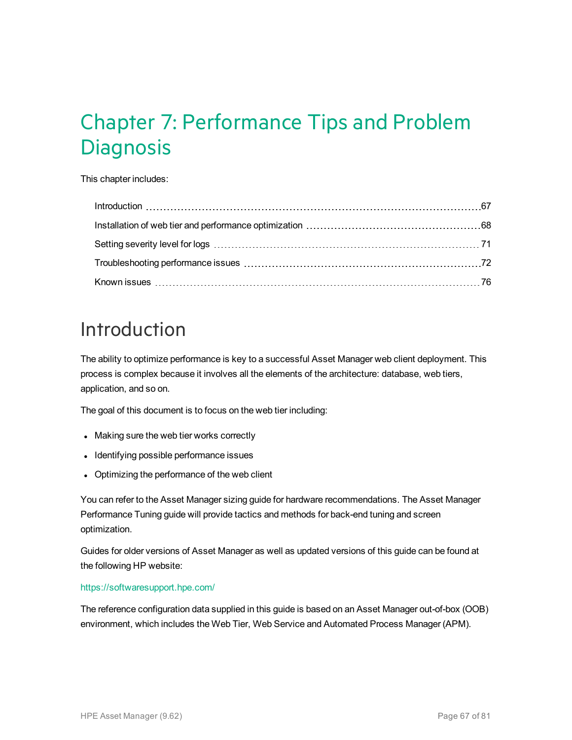# Chapter 7: Performance Tips and Problem **Diagnosis**

This chapter includes:

# <span id="page-66-0"></span>**Introduction**

The ability to optimize performance is key to a successful Asset Manager web client deployment. This process is complex because it involves all the elements of the architecture: database, web tiers, application, and so on.

The goal of this document is to focus on the web tier including:

- Making sure the web tier works correctly
- Identifying possible performance issues
- Optimizing the performance of the web client

You can refer to the Asset Manager sizing guide for hardware recommendations. The Asset Manager Performance Tuning guide will provide tactics and methods for back-end tuning and screen optimization.

Guides for older versions of Asset Manager as well as updated versions of this guide can be found at the following HP website:

#### <https://softwaresupport.hpe.com/>

The reference configuration data supplied in this guide is based on an Asset Manager out-of-box (OOB) environment, which includes the Web Tier, Web Service and Automated Process Manager (APM).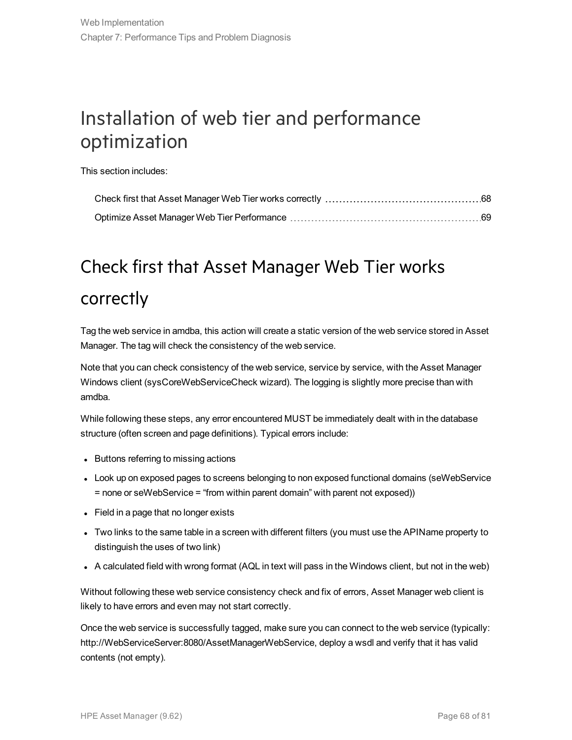# <span id="page-67-0"></span>Installation of web tier and performance optimization

This section includes:

<span id="page-67-1"></span>

# Check first that Asset Manager Web Tier works correctly

Tag the web service in amdba, this action will create a static version of the web service stored in Asset Manager. The tag will check the consistency of the web service.

Note that you can check consistency of the web service, service by service, with the Asset Manager Windows client (sysCoreWebServiceCheck wizard). The logging is slightly more precise than with amdba.

While following these steps, any error encountered MUST be immediately dealt with in the database structure (often screen and page definitions). Typical errors include:

- Buttons referring to missing actions
- Look up on exposed pages to screens belonging to non exposed functional domains (seWebService = none or seWebService = "from within parent domain" with parent not exposed))
- Field in a page that no longer exists
- Two links to the same table in a screen with different filters (you must use the APIName property to distinguish the uses of two link)
- A calculated field with wrong format (AQL in text will pass in the Windows client, but not in the web)

Without following these web service consistency check and fix of errors, Asset Manager web client is likely to have errors and even may not start correctly.

Once the web service is successfully tagged, make sure you can connect to the web service (typically: http://WebServiceServer:8080/AssetManagerWebService, deploy a wsdl and verify that it has valid contents (not empty).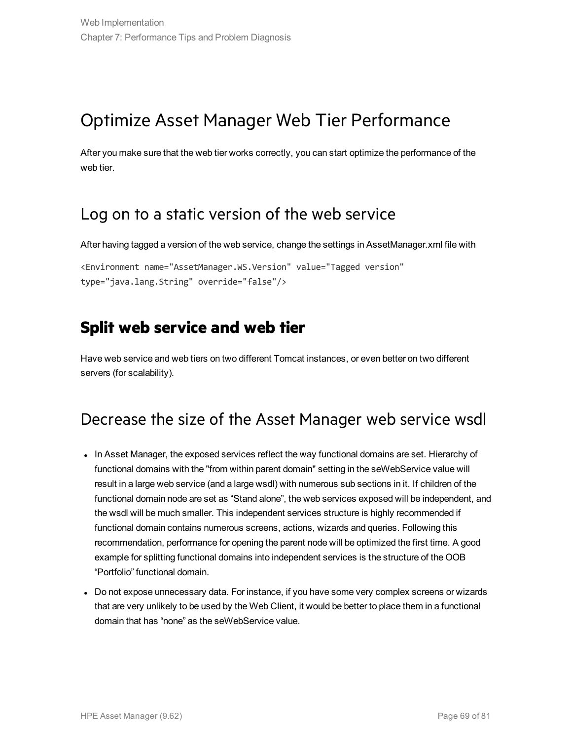## <span id="page-68-0"></span>Optimize Asset Manager Web Tier Performance

After you make sure that the web tier works correctly, you can start optimize the performance of the web tier.

## Log on to a static version of the web service

After having tagged a version of the web service, change the settings in AssetManager.xml file with

```
<Environment name="AssetManager.WS.Version" value="Tagged version"
type="java.lang.String" override="false"/>
```
## **Split web service and web tier**

Have web service and web tiers on two different Tomcat instances, or even better on two different servers (for scalability).

## Decrease the size of the Asset Manager web service wsdl

- In Asset Manager, the exposed services reflect the way functional domains are set. Hierarchy of functional domains with the "from within parent domain" setting in the seWebService value will result in a large web service (and a large wsdl) with numerous sub sections in it. If children of the functional domain node are set as "Stand alone", the web services exposed will be independent, and the wsdl will be much smaller. This independent services structure is highly recommended if functional domain contains numerous screens, actions, wizards and queries. Following this recommendation, performance for opening the parent node will be optimized the first time. A good example for splitting functional domains into independent services is the structure of the OOB "Portfolio" functional domain.
- Do not expose unnecessary data. For instance, if you have some very complex screens or wizards that are very unlikely to be used by the Web Client, it would be better to place them in a functional domain that has "none" as the seWebService value.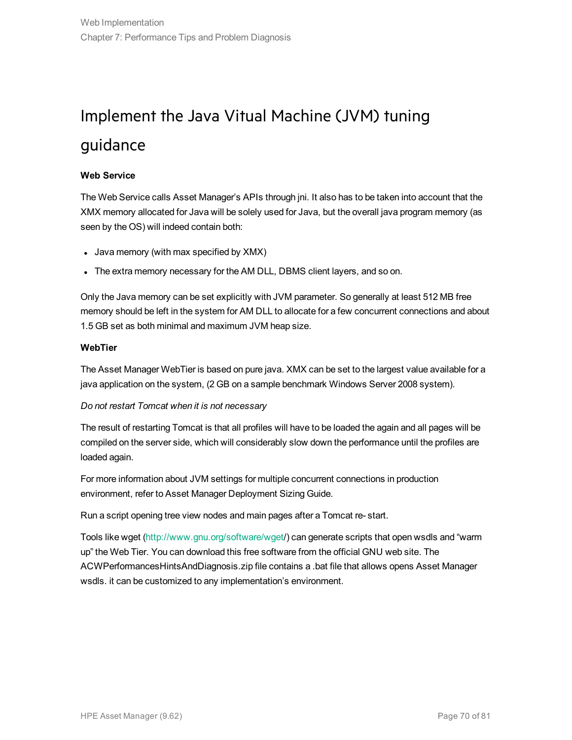# Implement the Java Vitual Machine (JVM) tuning guidance

#### **Web Service**

The Web Service calls Asset Manager's APIs through jni. It also has to be taken into account that the XMX memory allocated for Java will be solely used for Java, but the overall java program memory (as seen by the OS) will indeed contain both:

- Java memory (with max specified by XMX)
- The extra memory necessary for the AM DLL, DBMS client layers, and so on.

Only the Java memory can be set explicitly with JVM parameter. So generally at least 512 MB free memory should be left in the system for AM DLL to allocate for a few concurrent connections and about 1.5 GB set as both minimal and maximum JVM heap size.

#### **WebTier**

The Asset Manager WebTier is based on pure java. XMX can be set to the largest value available for a java application on the system, (2 GB on a sample benchmark Windows Server 2008 system).

#### *Do not restart Tomcat when it is not necessary*

The result of restarting Tomcat is that all profiles will have to be loaded the again and all pages will be compiled on the server side, which will considerably slow down the performance until the profiles are loaded again.

For more information about JVM settings for multiple concurrent connections in production environment, refer to Asset Manager Deployment Sizing Guide.

Run a script opening tree view nodes and main pages after a Tomcat re- start.

Tools like wget [\(http://www.gnu.org/software/wget/](http://www.gnu.org/software/wget)) can generate scripts that open wsdls and "warm up" the Web Tier. You can download this free software from the official GNU web site. The ACWPerformancesHintsAndDiagnosis.zip file contains a .bat file that allows opens Asset Manager wsdls. it can be customized to any implementation's environment.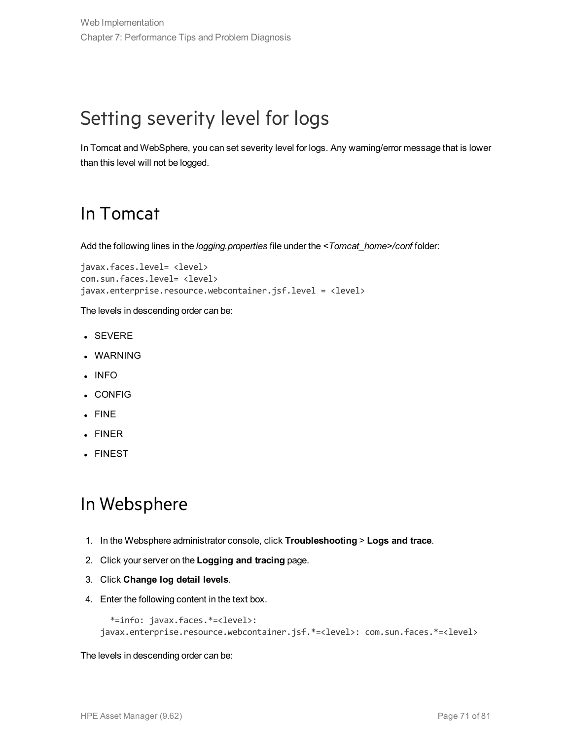# <span id="page-70-0"></span>Setting severity level for logs

In Tomcat and WebSphere, you can set severity level for logs. Any warning/error message that is lower than this level will not be logged.

## In Tomcat

Add the following lines in the *logging.properties* file under the *<Tomcat\_home>/conf* folder:

javax.faces.level= <level> com.sun.faces.level= <level> javax.enterprise.resource.webcontainer.jsf.level = <level>

The levels in descending order can be:

- SEVERE
- WARNING
- INFO
- <sup>l</sup> CONFIG
- $\blacksquare$ FINE
- **.** FINER
- FINEST

## In Websphere

- 1. In the Websphere administrator console, click **Troubleshooting** > **Logs and trace**.
- 2. Click your server on the **Logging and tracing** page.
- 3. Click **Change log detail levels**.
- 4. Enter the following content in the text box.

```
*=info: javax.faces.*=<level>:
javax.enterprise.resource.webcontainer.jsf.*=<level>: com.sun.faces.*=<level>
```
The levels in descending order can be: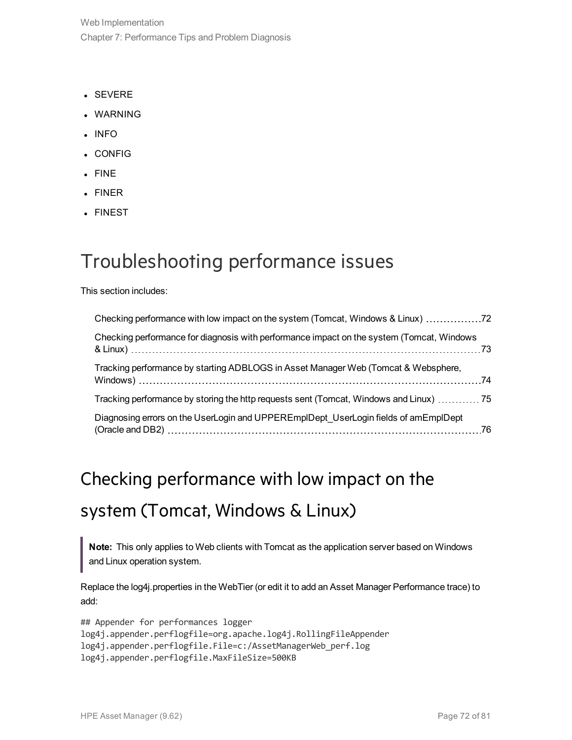Web Implementation Chapter 7: Performance Tips and Problem Diagnosis

- SEVERE
- **.** WARNING
- INFO
- <sup>l</sup> CONFIG
- . FINE
- **.** FINER
- FINEST

# <span id="page-71-0"></span>Troubleshooting performance issues

This section includes:

| Checking performance with low impact on the system (Tomcat, Windows & Linux)              |  |
|-------------------------------------------------------------------------------------------|--|
| Checking performance for diagnosis with performance impact on the system (Tomcat, Windows |  |
| Tracking performance by starting ADBLOGS in Asset Manager Web (Tomcat & Websphere,        |  |
| Tracking performance by storing the http requests sent (Tomcat, Windows and Linux)  75    |  |
| Diagnosing errors on the UserLogin and UPPEREmplDept UserLogin fields of amEmplDept       |  |

# <span id="page-71-1"></span>Checking performance with low impact on the system (Tomcat, Windows & Linux)

**Note:** This only applies to Web clients with Tomcat as the application server based on Windows and Linux operation system.

Replace the log4j.properties in the WebTier (or edit it to add an Asset Manager Performance trace) to add:

```
## Appender for performances logger
log4j.appender.perflogfile=org.apache.log4j.RollingFileAppender
log4j.appender.perflogfile.File=c:/AssetManagerWeb_perf.log
log4j.appender.perflogfile.MaxFileSize=500KB
```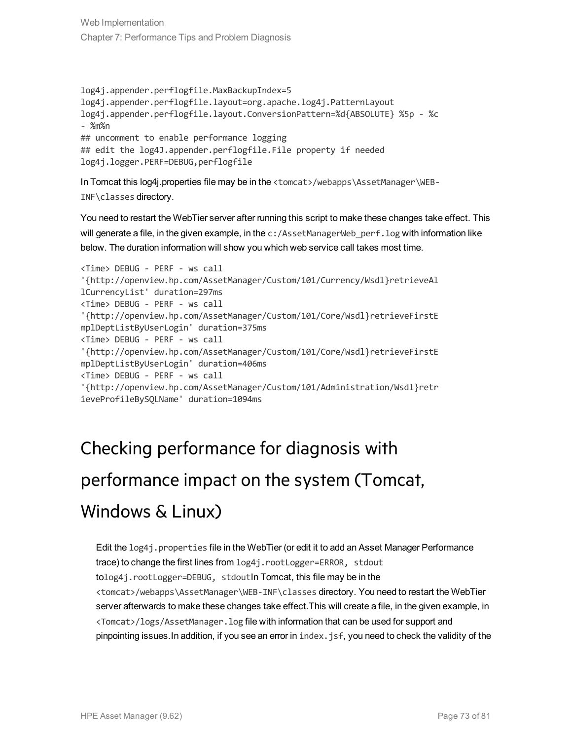Web Implementation Chapter 7: Performance Tips and Problem Diagnosis

log4j.appender.perflogfile.MaxBackupIndex=5 log4j.appender.perflogfile.layout=org.apache.log4j.PatternLayout log4j.appender.perflogfile.layout.ConversionPattern=%d{ABSOLUTE} %5p - %c - %m%n ## uncomment to enable performance logging ## edit the log4J.appender.perflogfile.File property if needed log4j.logger.PERF=DEBUG,perflogfile

In Tomcat this log4j.properties file may be in the <tomcat>/webapps\AssetManager\WEB-INF\classes directory.

You need to restart the WebTier server after running this script to make these changes take effect. This will generate a file, in the given example, in the c:/AssetManagerWeb\_perf.log with information like below. The duration information will show you which web service call takes most time.

```
<Time> DEBUG - PERF - ws call
'{http://openview.hp.com/AssetManager/Custom/101/Currency/Wsdl}retrieveAl
lCurrencyList' duration=297ms
<Time> DEBUG - PERF - ws call
'{http://openview.hp.com/AssetManager/Custom/101/Core/Wsdl}retrieveFirstE
mplDeptListByUserLogin' duration=375ms
<Time> DEBUG - PERF - ws call
'{http://openview.hp.com/AssetManager/Custom/101/Core/Wsdl}retrieveFirstE
mplDeptListByUserLogin' duration=406ms
<Time> DEBUG - PERF - ws call
'{http://openview.hp.com/AssetManager/Custom/101/Administration/Wsdl}retr
ieveProfileBySQLName' duration=1094ms
```
# Checking performance for diagnosis with performance impact on the system (Tomcat, Windows & Linux)

Edit the log4j.properties file in the WebTier (or edit it to add an Asset Manager Performance trace) to change the first lines from  $log4j$ . rootLogger=ERROR, stdout tolog4j.rootLogger=DEBUG, stdoutIn Tomcat, this file may be in the <tomcat>/webapps\AssetManager\WEB-INF\classes directory. You need to restart the WebTier server afterwards to make these changes take effect.This will create a file, in the given example, in <Tomcat>/logs/AssetManager.log file with information that can be used for support and pinpointing issues. In addition, if you see an error in index. jsf, you need to check the validity of the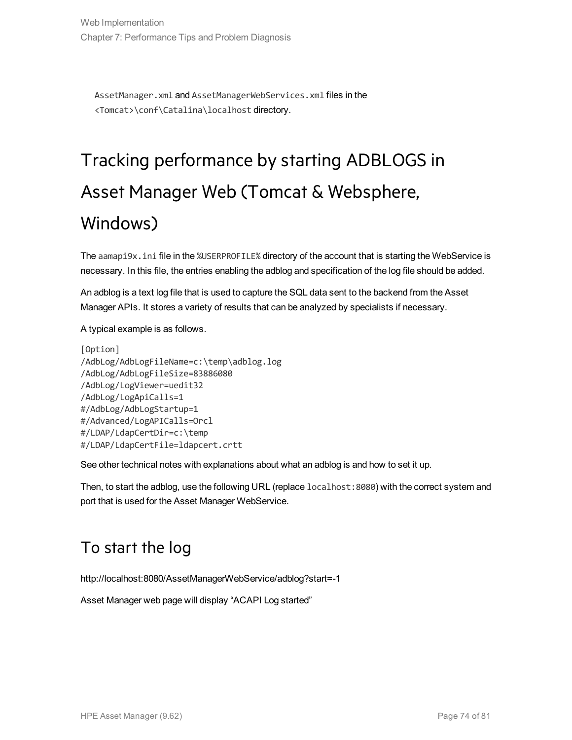AssetManager.xml and AssetManagerWebServices.xml files in the <Tomcat>\conf\Catalina\localhost directory.

## Tracking performance by starting ADBLOGS in Asset Manager Web (Tomcat & Websphere, Windows)

The aamapi9x.ini file in the %USERPROFILE% directory of the account that is starting the WebService is necessary. In this file, the entries enabling the adblog and specification of the log file should be added.

An adblog is a text log file that is used to capture the SQL data sent to the backend from the Asset Manager APIs. It stores a variety of results that can be analyzed by specialists if necessary.

A typical example is as follows.

```
[Option]
/AdbLog/AdbLogFileName=c:\temp\adblog.log
/AdbLog/AdbLogFileSize=83886080
/AdbLog/LogViewer=uedit32
/AdbLog/LogApiCalls=1
#/AdbLog/AdbLogStartup=1
#/Advanced/LogAPICalls=Orcl
#/LDAP/LdapCertDir=c:\temp
#/LDAP/LdapCertFile=ldapcert.crtt
```
See other technical notes with explanations about what an adblog is and how to set it up.

Then, to start the adblog, use the following URL (replace localhost:8080) with the correct system and port that is used for the Asset Manager WebService.

### To start the log

http://localhost:8080/AssetManagerWebService/adblog?start=-1

Asset Manager web page will display "ACAPI Log started"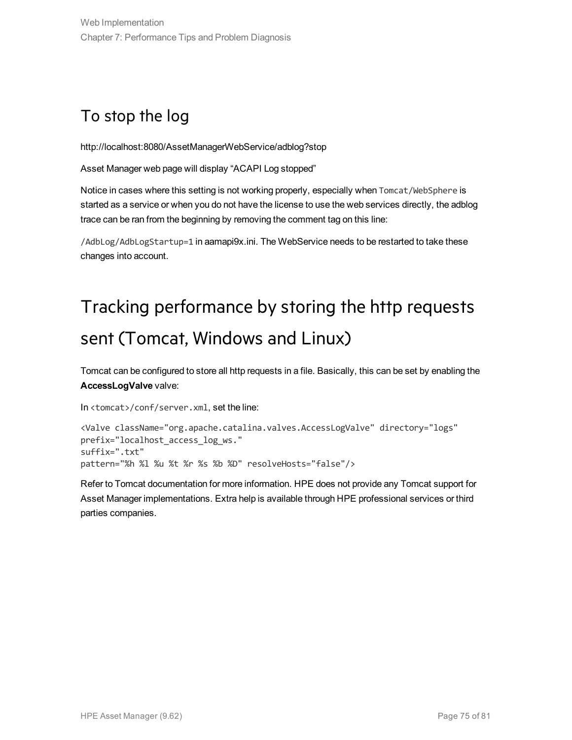## To stop the log

http://localhost:8080/AssetManagerWebService/adblog?stop

Asset Manager web page will display "ACAPI Log stopped"

Notice in cases where this setting is not working properly, especially when Tomcat/WebSphere is started as a service or when you do not have the license to use the web services directly, the adblog trace can be ran from the beginning by removing the comment tag on this line:

/AdbLog/AdbLogStartup=1 in aamapi9x.ini. The WebService needs to be restarted to take these changes into account.

## Tracking performance by storing the http requests sent (Tomcat, Windows and Linux)

Tomcat can be configured to store all http requests in a file. Basically, this can be set by enabling the **AccessLogValve** valve:

In <tomcat>/conf/server.xml, set the line:

<Valve className="org.apache.catalina.valves.AccessLogValve" directory="logs" prefix="localhost access log ws." suffix=".txt" pattern="%h %l %u %t %r %s %b %D" resolveHosts="false"/>

Refer to Tomcat documentation for more information. HPE does not provide any Tomcat support for Asset Manager implementations. Extra help is available through HPE professional services or third parties companies.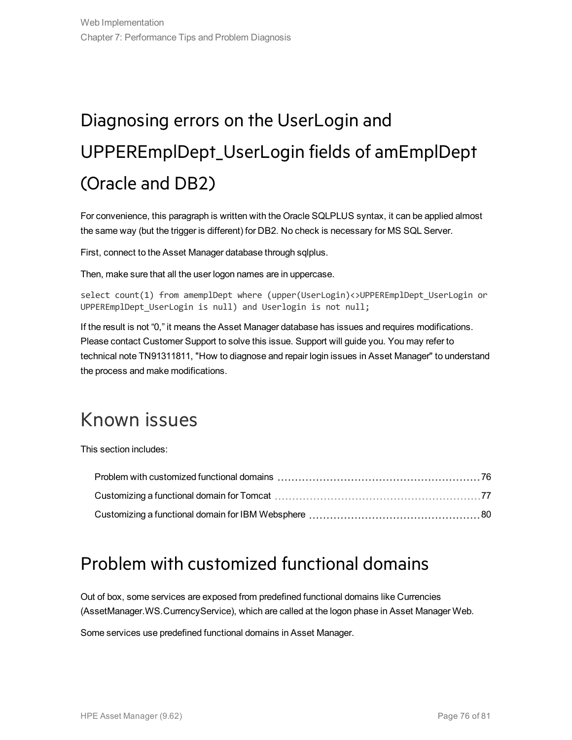# Diagnosing errors on the UserLogin and UPPEREmplDept\_UserLogin fields of amEmplDept (Oracle and DB2)

For convenience, this paragraph is written with the Oracle SQLPLUS syntax, it can be applied almost the same way (but the trigger is different) for DB2. No check is necessary for MS SQL Server.

First, connect to the Asset Manager database through sqlplus.

Then, make sure that all the user logon names are in uppercase.

select count(1) from amemplDept where (upper(UserLogin)<>UPPEREmplDept UserLogin or UPPEREmplDept\_UserLogin is null) and Userlogin is not null;

If the result is not "0," it means the Asset Manager database has issues and requires modifications. Please contact Customer Support to solve this issue. Support will guide you. You may refer to technical note TN91311811, "How to diagnose and repair login issues in Asset Manager" to understand the process and make modifications.

## Known issues

This section includes:

### <span id="page-75-0"></span>Problem with customized functional domains

Out of box, some services are exposed from predefined functional domains like Currencies (AssetManager.WS.CurrencyService), which are called at the logon phase in Asset Manager Web.

Some services use predefined functional domains in Asset Manager.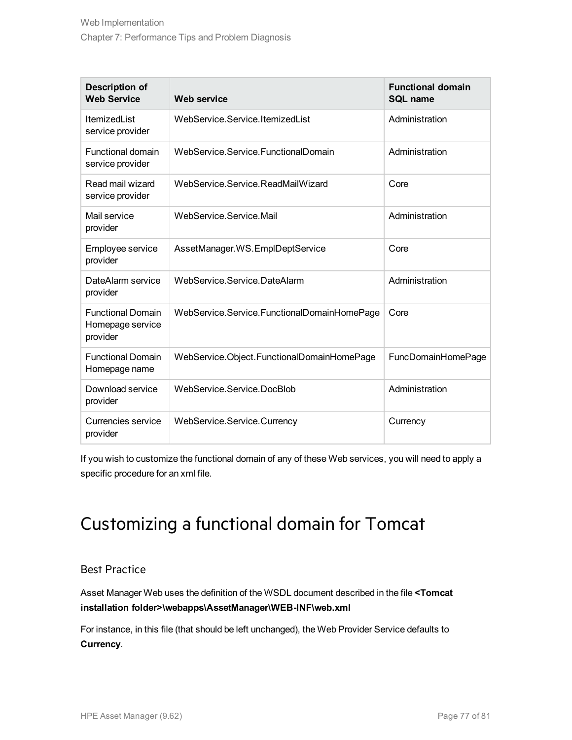| <b>Description of</b><br><b>Web Service</b>              | Web service                                 | <b>Functional domain</b><br><b>SQL name</b> |
|----------------------------------------------------------|---------------------------------------------|---------------------------------------------|
| <b>ItemizedList</b><br>service provider                  | WebService Service Itemized List            | Administration                              |
| Functional domain<br>service provider                    | WebService.Service.FunctionalDomain         | Administration                              |
| Read mail wizard<br>service provider                     | WebService Service ReadMailWizard           | Core                                        |
| Mail service<br>provider                                 | WebService.Service.Mail                     | Administration                              |
| Employee service<br>provider                             | AssetManager.WS.EmplDeptService             | Core                                        |
| DateAlarm service<br>provider                            | WebService Service DateAlarm                | Administration                              |
| <b>Functional Domain</b><br>Homepage service<br>provider | WebService.Service.FunctionalDomainHomePage | Core                                        |
| <b>Functional Domain</b><br>Homepage name                | WebService.Object.FunctionalDomainHomePage  | FuncDomainHomePage                          |
| Download service<br>provider                             | WebService.Service.DocBlob                  | Administration                              |
| Currencies service<br>provider                           | WebService.Service.Currency                 | Currency                                    |

<span id="page-76-0"></span>If you wish to customize the functional domain of any of these Web services, you will need to apply a specific procedure for an xml file.

## Customizing a functional domain for Tomcat

#### Best Practice

Asset Manager Web uses the definition of the WSDL document described in the file **<Tomcat installation folder>\webapps\AssetManager\WEB-INF\web.xml**

For instance, in this file (that should be left unchanged), the Web Provider Service defaults to **Currency**.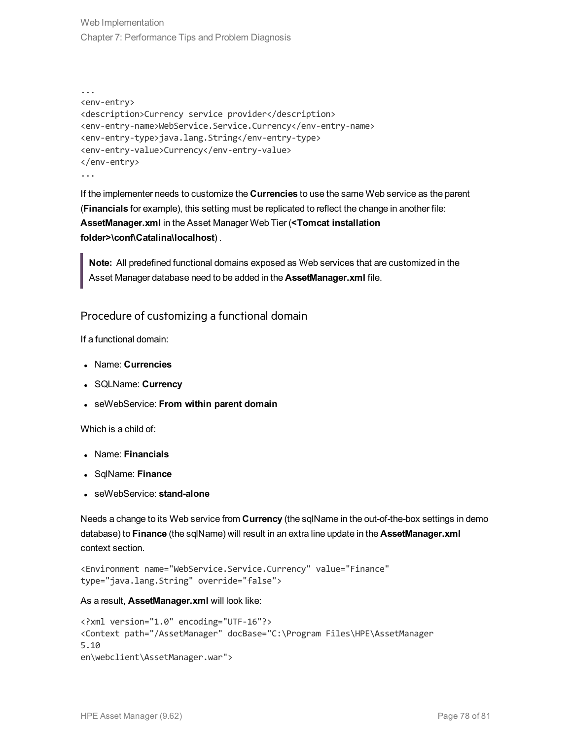Web Implementation Chapter 7: Performance Tips and Problem Diagnosis

```
...
<env-entry>
<description>Currency service provider</description>
<env-entry-name>WebService.Service.Currency</env-entry-name>
<env-entry-type>java.lang.String</env-entry-type>
<env-entry-value>Currency</env-entry-value>
</env-entry>
...
```
If the implementer needs to customize the **Currencies** to use the same Web service as the parent (**Financials** for example), this setting must be replicated to reflect the change in another file: **AssetManager.xml** in the Asset Manager Web Tier (**<Tomcat installation folder>\conf\Catalina\localhost**) .

**Note:** All predefined functional domains exposed as Web services that are customized in the Asset Manager database need to be added in the **AssetManager.xml** file.

#### Procedure of customizing a functional domain

If a functional domain:

- <sup>l</sup> Name: **Currencies**
- <sup>l</sup> SQLName: **Currency**
- <sup>l</sup> seWebService: **From within parent domain**

Which is a child of:

- <sup>l</sup> Name: **Financials**
- <sup>l</sup> SqlName: **Finance**
- <sup>l</sup> seWebService: **stand-alone**

Needs a change to its Web service from **Currency** (the sqlName in the out-of-the-box settings in demo database) to **Finance** (the sqlName) will result in an extra line update in the **AssetManager.xml** context section.

<Environment name="WebService.Service.Currency" value="Finance" type="java.lang.String" override="false">

#### As a result, **AssetManager.xml** will look like:

```
<?xml version="1.0" encoding="UTF-16"?>
<Context path="/AssetManager" docBase="C:\Program Files\HPE\AssetManager
5.10
en\webclient\AssetManager.war">
```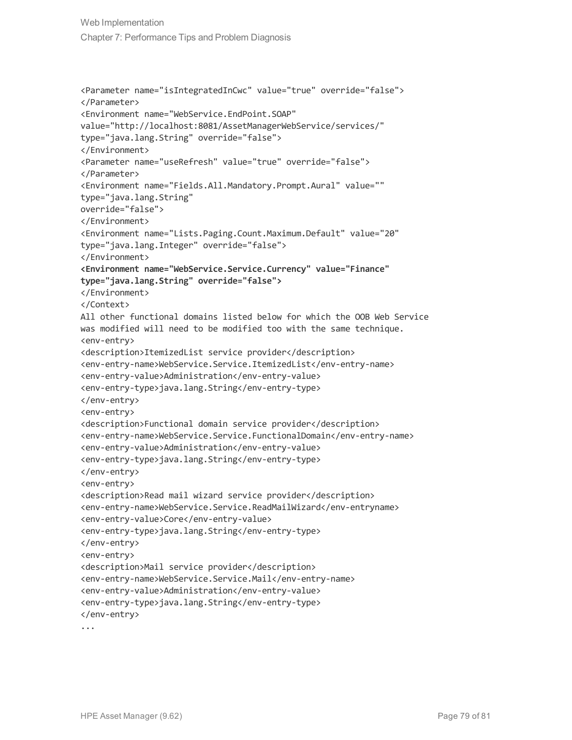```
<Parameter name="isIntegratedInCwc" value="true" override="false">
</Parameter>
<Environment name="WebService.EndPoint.SOAP"
value="http://localhost:8081/AssetManagerWebService/services/"
type="java.lang.String" override="false">
</Environment>
<Parameter name="useRefresh" value="true" override="false">
</Parameter>
<Environment name="Fields.All.Mandatory.Prompt.Aural" value=""
type="java.lang.String"
override="false">
</Environment>
<Environment name="Lists.Paging.Count.Maximum.Default" value="20"
type="java.lang.Integer" override="false">
</Environment>
<Environment name="WebService.Service.Currency" value="Finance"
type="java.lang.String" override="false">
</Environment>
</Context>
All other functional domains listed below for which the OOB Web Service
was modified will need to be modified too with the same technique.
<env-entry>
<description>ItemizedList service provider</description>
<env-entry-name>WebService.Service.ItemizedList</env-entry-name>
<env-entry-value>Administration</env-entry-value>
<env-entry-type>java.lang.String</env-entry-type>
</env-entry>
<env-entry>
<description>Functional domain service provider</description>
<env-entry-name>WebService.Service.FunctionalDomain</env-entry-name>
<env-entry-value>Administration</env-entry-value>
<env-entry-type>java.lang.String</env-entry-type>
</env-entry>
<env-entry>
<description>Read mail wizard service provider</description>
<env-entry-name>WebService.Service.ReadMailWizard</env-entryname>
<env-entry-value>Core</env-entry-value>
<env-entry-type>java.lang.String</env-entry-type>
</env-entry>
<env-entry>
<description>Mail service provider</description>
<env-entry-name>WebService.Service.Mail</env-entry-name>
<env-entry-value>Administration</env-entry-value>
<env-entry-type>java.lang.String</env-entry-type>
</env-entry>
...
```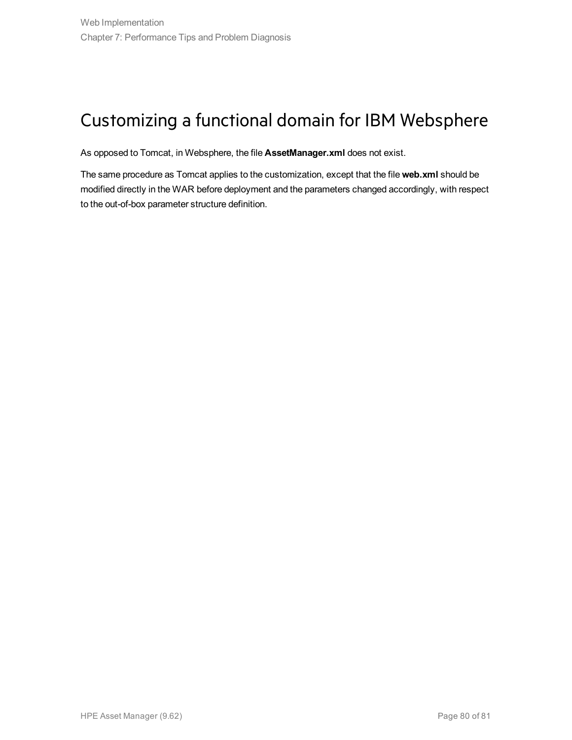## <span id="page-79-0"></span>Customizing a functional domain for IBM Websphere

As opposed to Tomcat, in Websphere, the file **AssetManager.xml** does not exist.

The same procedure as Tomcat applies to the customization, except that the file **web.xml** should be modified directly in the WAR before deployment and the parameters changed accordingly, with respect to the out-of-box parameter structure definition.